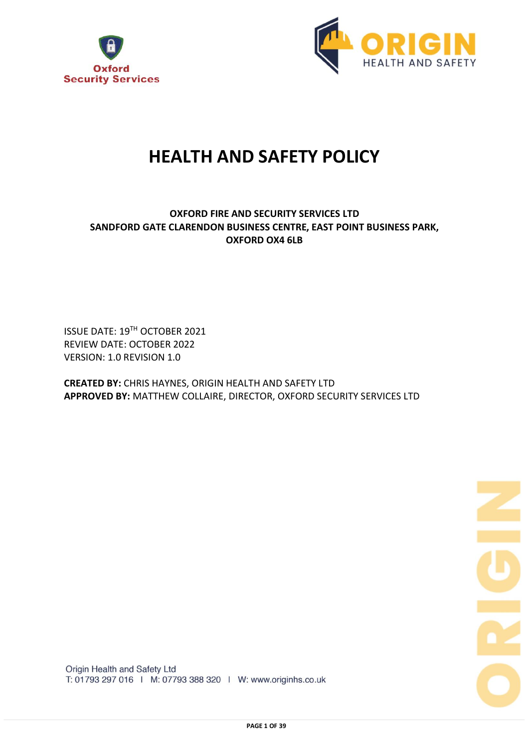



# **HEALTH AND SAFETY POLICY**

## **OXFORD FIRE AND SECURITY SERVICES LTD SANDFORD GATE CLARENDON BUSINESS CENTRE, EAST POINT BUSINESS PARK, OXFORD OX4 6LB**

ISSUE DATE: 19TH OCTOBER 2021 REVIEW DATE: OCTOBER 2022 VERSION: 1.0 REVISION 1.0

**CREATED BY:** CHRIS HAYNES, ORIGIN HEALTH AND SAFETY LTD **APPROVED BY:** MATTHEW COLLAIRE, DIRECTOR, OXFORD SECURITY SERVICES LTD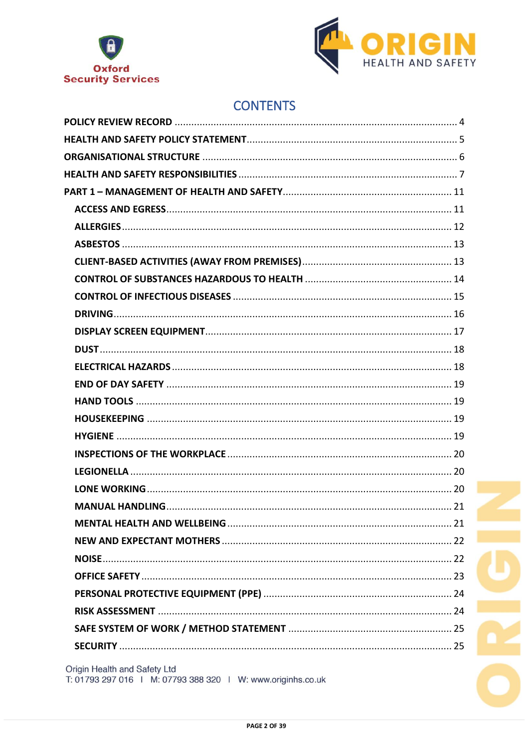



## **CONTENTS**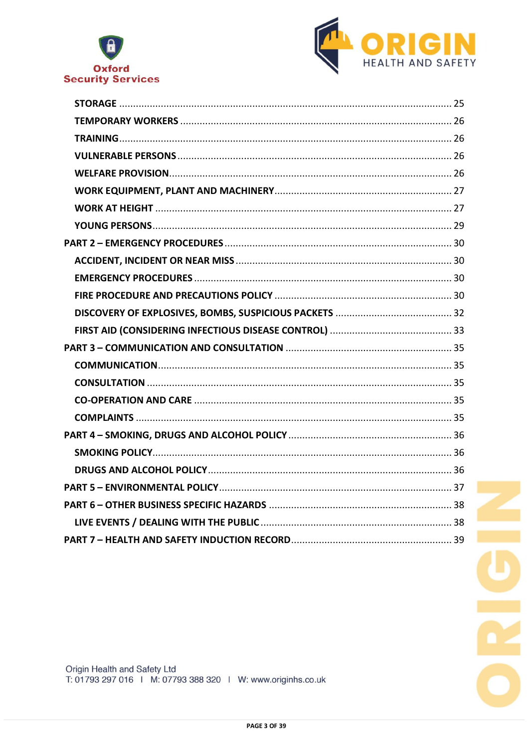

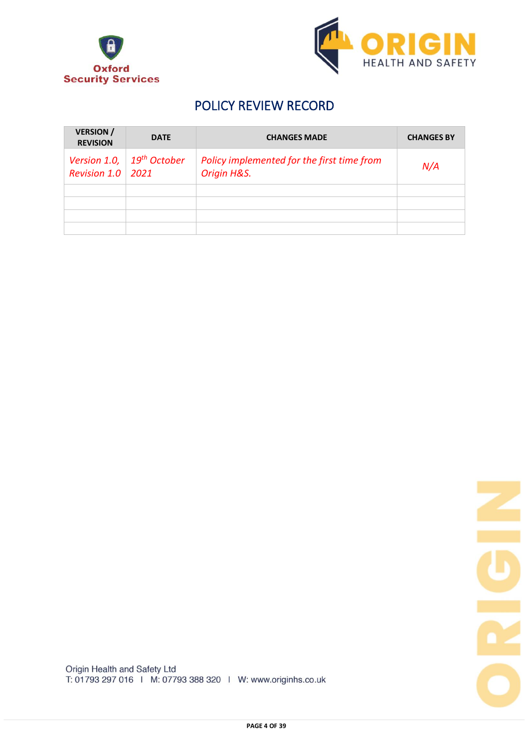



## POLICY REVIEW RECORD

| <b>VERSION</b> /<br><b>REVISION</b> | <b>DATE</b>                      | <b>CHANGES MADE</b>                                       | <b>CHANGES BY</b> |
|-------------------------------------|----------------------------------|-----------------------------------------------------------|-------------------|
| Version 1.0,<br><b>Revision 1.0</b> | 19 <sup>th</sup> October<br>2021 | Policy implemented for the first time from<br>Origin H&S. | N/A               |
|                                     |                                  |                                                           |                   |
|                                     |                                  |                                                           |                   |
|                                     |                                  |                                                           |                   |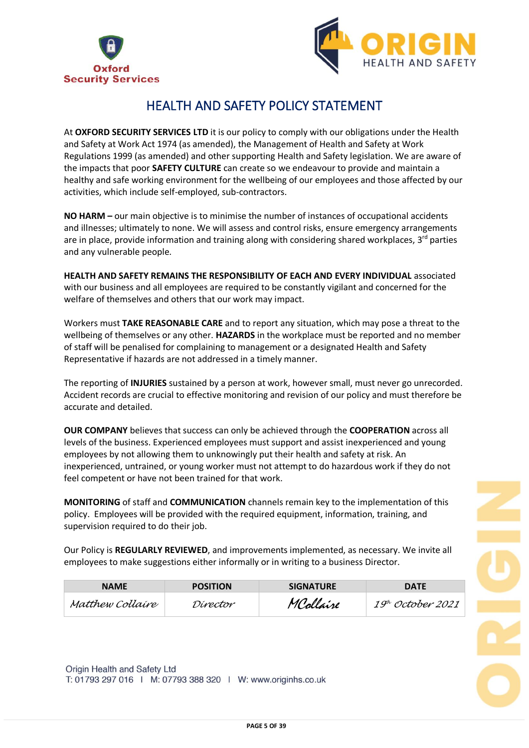



## HEALTH AND SAFETY POLICY STATEMENT

At **OXFORD SECURITY SERVICES LTD** it is our policy to comply with our obligations under the Health and Safety at Work Act 1974 (as amended), the Management of Health and Safety at Work Regulations 1999 (as amended) and other supporting Health and Safety legislation. We are aware of the impacts that poor **SAFETY CULTURE** can create so we endeavour to provide and maintain a healthy and safe working environment for the wellbeing of our employees and those affected by our activities, which include self-employed, sub-contractors.

**NO HARM –** our main objective is to minimise the number of instances of occupational accidents and illnesses; ultimately to none. We will assess and control risks, ensure emergency arrangements are in place, provide information and training along with considering shared workplaces,  $3<sup>rd</sup>$  parties and any vulnerable people.

**HEALTH AND SAFETY REMAINS THE RESPONSIBILITY OF EACH AND EVERY INDIVIDUAL** associated with our business and all employees are required to be constantly vigilant and concerned for the welfare of themselves and others that our work may impact.

Workers must **TAKE REASONABLE CARE** and to report any situation, which may pose a threat to the wellbeing of themselves or any other. **HAZARDS** in the workplace must be reported and no member of staff will be penalised for complaining to management or a designated Health and Safety Representative if hazards are not addressed in a timely manner.

The reporting of **INJURIES** sustained by a person at work, however small, must never go unrecorded. Accident records are crucial to effective monitoring and revision of our policy and must therefore be accurate and detailed.

**OUR COMPANY** believes that success can only be achieved through the **COOPERATION** across all levels of the business. Experienced employees must support and assist inexperienced and young employees by not allowing them to unknowingly put their health and safety at risk. An inexperienced, untrained, or young worker must not attempt to do hazardous work if they do not feel competent or have not been trained for that work.

**MONITORING** of staff and **COMMUNICATION** channels remain key to the implementation of this policy. Employees will be provided with the required equipment, information, training, and supervision required to do their job.

Our Policy is **REGULARLY REVIEWED**, and improvements implemented, as necessary. We invite all employees to make suggestions either informally or in writing to a business Director.

| <b>NAME</b>      | <b>POSITION</b> | <b>SIGNATURE</b> | <b>DATE</b>                   |
|------------------|-----------------|------------------|-------------------------------|
| Matthew Collaire | Dírector        | Mcolláire        | 19 <sup>th</sup> October 2021 |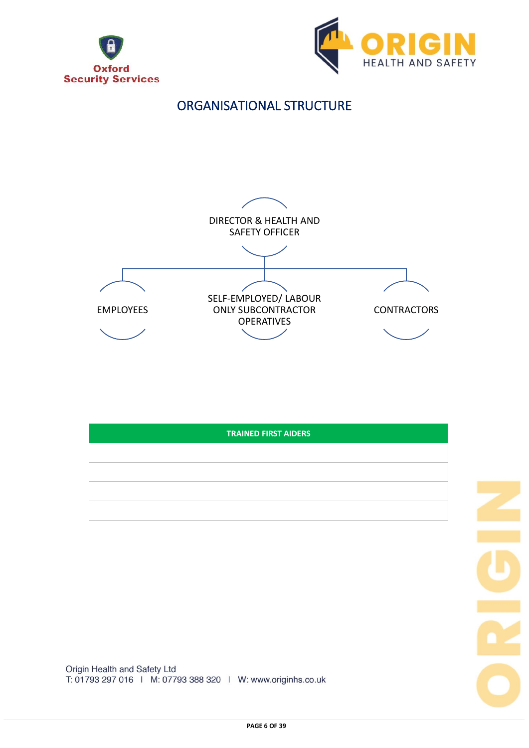





| <b>TRAINED FIRST AIDERS</b> |  |  |
|-----------------------------|--|--|
|                             |  |  |
|                             |  |  |
|                             |  |  |
|                             |  |  |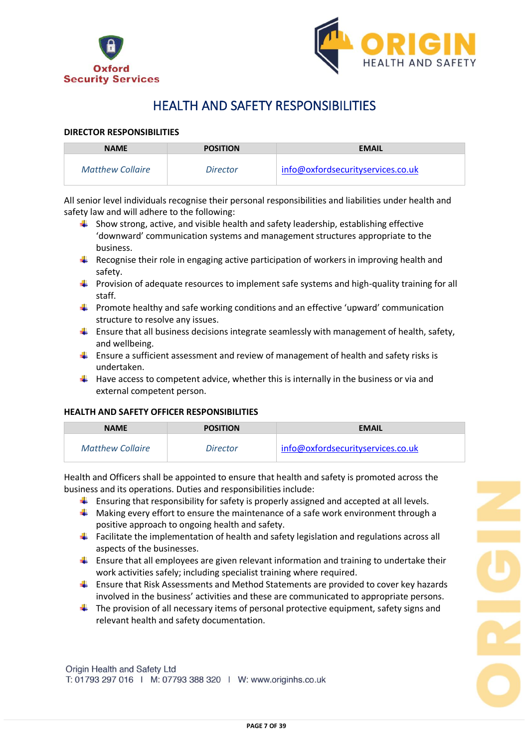



## HEALTH AND SAFETY RESPONSIBILITIES

## **DIRECTOR RESPONSIBILITIES**

| <b>NAME</b>             | <b>POSITION</b> | <b>EMAIL</b>                      |
|-------------------------|-----------------|-----------------------------------|
| <b>Matthew Collaire</b> | <i>Director</i> | info@oxfordsecurityservices.co.uk |

All senior level individuals recognise their personal responsibilities and liabilities under health and safety law and will adhere to the following:

- $\ddot{\bullet}$  Show strong, active, and visible health and safety leadership, establishing effective 'downward' communication systems and management structures appropriate to the business.
- $\ddot{\phantom{1}}$  Recognise their role in engaging active participation of workers in improving health and safety.
- **Provision of adequate resources to implement safe systems and high-quality training for all** staff.
- $\ddot{\phantom{1}}$  Promote healthy and safe working conditions and an effective 'upward' communication structure to resolve any issues.
- **Ensure that all business decisions integrate seamlessly with management of health, safety,** and wellbeing.
- $\ddot{\bullet}$  Ensure a sufficient assessment and review of management of health and safety risks is undertaken.
- $\downarrow$  Have access to competent advice, whether this is internally in the business or via and external competent person.

## **HEALTH AND SAFETY OFFICER RESPONSIBILITIES**

| <b>NAME</b>      | <b>POSITION</b> | <b>EMAIL</b>                      |
|------------------|-----------------|-----------------------------------|
| Matthew Collaire | <i>Director</i> | info@oxfordsecurityservices.co.uk |

Health and Officers shall be appointed to ensure that health and safety is promoted across the business and its operations. Duties and responsibilities include:

- $\ddot{\phantom{1}}$  Ensuring that responsibility for safety is properly assigned and accepted at all levels.
- $\ddot{\bullet}$  Making every effort to ensure the maintenance of a safe work environment through a positive approach to ongoing health and safety.
- **Facilitate the implementation of health and safety legislation and regulations across all** aspects of the businesses.
- $\ddot{\phantom{1}}$  Ensure that all employees are given relevant information and training to undertake their work activities safely; including specialist training where required.
- $\ddot{\phantom{1}}$  Ensure that Risk Assessments and Method Statements are provided to cover key hazards involved in the business' activities and these are communicated to appropriate persons.
- $\ddot{\phantom{1}}$  The provision of all necessary items of personal protective equipment, safety signs and relevant health and safety documentation.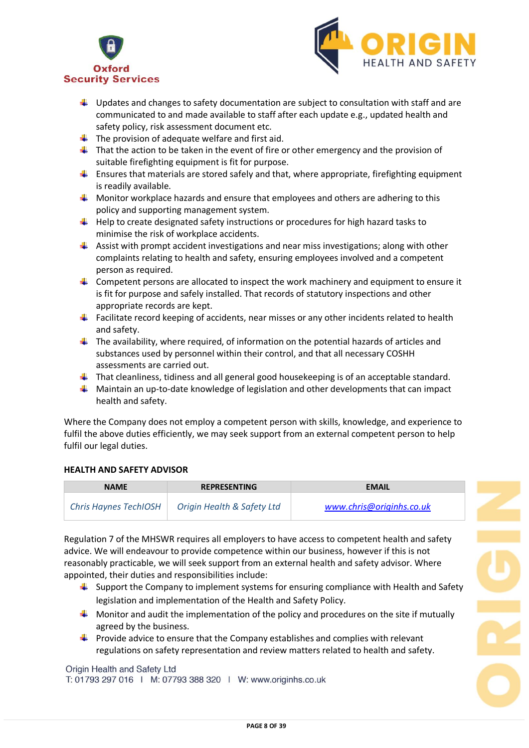



- $\downarrow$  Updates and changes to safety documentation are subject to consultation with staff and are communicated to and made available to staff after each update e.g., updated health and safety policy, risk assessment document etc.
- $\downarrow$  The provision of adequate welfare and first aid.
- $\ddot{\phantom{1}}$  That the action to be taken in the event of fire or other emergency and the provision of suitable firefighting equipment is fit for purpose.
- **E** Ensures that materials are stored safely and that, where appropriate, firefighting equipment is readily available.
- $\ddot{\phantom{1}}$  Monitor workplace hazards and ensure that employees and others are adhering to this policy and supporting management system.
- $\ddot{\phantom{1}}$  Help to create designated safety instructions or procedures for high hazard tasks to minimise the risk of workplace accidents.
- $\blacktriangle$  Assist with prompt accident investigations and near miss investigations; along with other complaints relating to health and safety, ensuring employees involved and a competent person as required.
- $\downarrow$  Competent persons are allocated to inspect the work machinery and equipment to ensure it is fit for purpose and safely installed. That records of statutory inspections and other appropriate records are kept.
- **Facilitate record keeping of accidents, near misses or any other incidents related to health** and safety.
- $\ddot{\phantom{1}}$  The availability, where required, of information on the potential hazards of articles and substances used by personnel within their control, and that all necessary COSHH assessments are carried out.
- $\downarrow$  That cleanliness, tidiness and all general good housekeeping is of an acceptable standard.
- $\blacksquare$  Maintain an up-to-date knowledge of legislation and other developments that can impact health and safety.

Where the Company does not employ a competent person with skills, knowledge, and experience to fulfil the above duties efficiently, we may seek support from an external competent person to help fulfil our legal duties.

## **HEALTH AND SAFETY ADVISOR**

| <b>NAME</b>           | <b>REPRESENTING</b>        | <b>EMAIL</b>             |
|-----------------------|----------------------------|--------------------------|
| Chris Haynes TechIOSH | Origin Health & Safety Ltd | www.chris@originhs.co.uk |

Regulation 7 of the MHSWR requires all employers to have access to competent health and safety advice. We will endeavour to provide competence within our business, however if this is not reasonably practicable, we will seek support from an external health and safety advisor. Where appointed, their duties and responsibilities include:

- $\ddot{\phantom{1}}$  Support the Company to implement systems for ensuring compliance with Health and Safety legislation and implementation of the Health and Safety Policy.
- $\Box$  Monitor and audit the implementation of the policy and procedures on the site if mutually agreed by the business.
- **Provide advice to ensure that the Company establishes and complies with relevant** regulations on safety representation and review matters related to health and safety.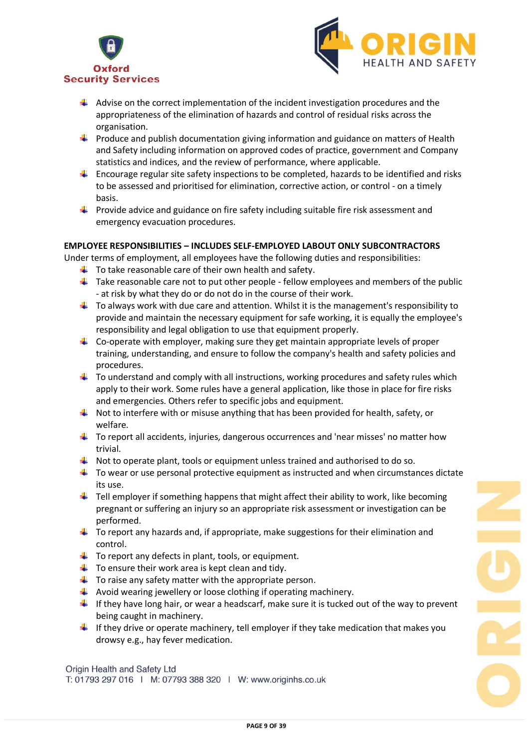



- $\ddot{+}$  Advise on the correct implementation of the incident investigation procedures and the appropriateness of the elimination of hazards and control of residual risks across the organisation.
- $\downarrow$  Produce and publish documentation giving information and guidance on matters of Health and Safety including information on approved codes of practice, government and Company statistics and indices, and the review of performance, where applicable.
- $\ddot{\phantom{1}}$  Encourage regular site safety inspections to be completed, hazards to be identified and risks to be assessed and prioritised for elimination, corrective action, or control - on a timely basis.
- **Provide advice and guidance on fire safety including suitable fire risk assessment and** emergency evacuation procedures.

## **EMPLOYEE RESPONSIBILITIES – INCLUDES SELF-EMPLOYED LABOUT ONLY SUBCONTRACTORS**

Under terms of employment, all employees have the following duties and responsibilities:

- $\ddot{\phantom{1}}$  To take reasonable care of their own health and safety.
- $\ddot{\phantom{1}}$  Take reasonable care not to put other people fellow employees and members of the public - at risk by what they do or do not do in the course of their work.
- $\ddot{\phantom{1}}$  To always work with due care and attention. Whilst it is the management's responsibility to provide and maintain the necessary equipment for safe working, it is equally the employee's responsibility and legal obligation to use that equipment properly.
- $\downarrow$  Co-operate with employer, making sure they get maintain appropriate levels of proper training, understanding, and ensure to follow the company's health and safety policies and procedures.
- $\ddot{\phantom{1}}$  To understand and comply with all instructions, working procedures and safety rules which apply to their work. Some rules have a general application, like those in place for fire risks and emergencies. Others refer to specific jobs and equipment.
- $\downarrow$  Not to interfere with or misuse anything that has been provided for health, safety, or welfare.
- $\ddot{\phantom{1}}$  To report all accidents, injuries, dangerous occurrences and 'near misses' no matter how trivial.
- $\downarrow$  Not to operate plant, tools or equipment unless trained and authorised to do so.
- $\ddot{\bullet}$  To wear or use personal protective equipment as instructed and when circumstances dictate its use.
- $\ddot{\phantom{1}}$  Tell employer if something happens that might affect their ability to work, like becoming pregnant or suffering an injury so an appropriate risk assessment or investigation can be performed.
- $\ddot{\phantom{1}}$  To report any hazards and, if appropriate, make suggestions for their elimination and control.
- $\ddot{\phantom{1}}$  To report any defects in plant, tools, or equipment.
- $\ddot{\phantom{1}}$  To ensure their work area is kept clean and tidy.
- $\ddot{\phantom{1}}$  To raise any safety matter with the appropriate person.
- $\ddot{\phantom{1}}$  Avoid wearing jewellery or loose clothing if operating machinery.
- If they have long hair, or wear a headscarf, make sure it is tucked out of the way to prevent being caught in machinery.
- If they drive or operate machinery, tell employer if they take medication that makes you drowsy e.g., hay fever medication.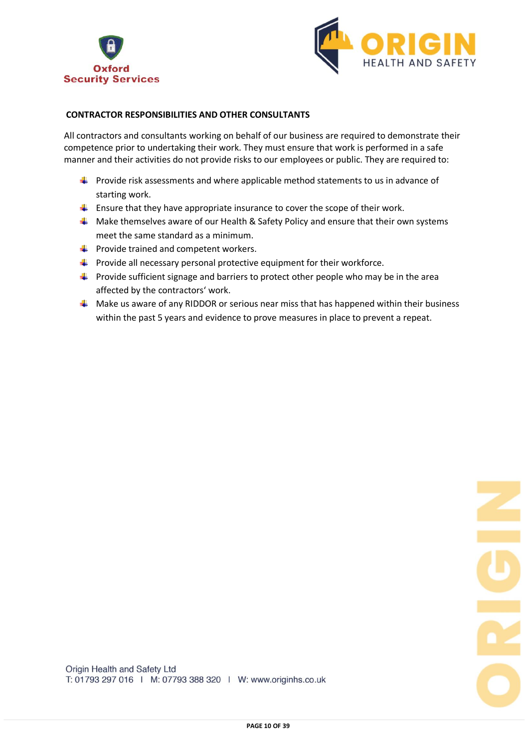



## **CONTRACTOR RESPONSIBILITIES AND OTHER CONSULTANTS**

All contractors and consultants working on behalf of our business are required to demonstrate their competence prior to undertaking their work. They must ensure that work is performed in a safe manner and their activities do not provide risks to our employees or public. They are required to:

- $\ddot{\phantom{1}}$  Provide risk assessments and where applicable method statements to us in advance of starting work.
- $\ddot{\phantom{1}}$  Ensure that they have appropriate insurance to cover the scope of their work.
- $\perp$  Make themselves aware of our Health & Safety Policy and ensure that their own systems meet the same standard as a minimum.
- $\downarrow$  Provide trained and competent workers.
- $\ddot{+}$  Provide all necessary personal protective equipment for their workforce.
- $\ddot{\phantom{1}}$  Provide sufficient signage and barriers to protect other people who may be in the area affected by the contractors' work.
- $\uparrow$  Make us aware of any RIDDOR or serious near miss that has happened within their business within the past 5 years and evidence to prove measures in place to prevent a repeat.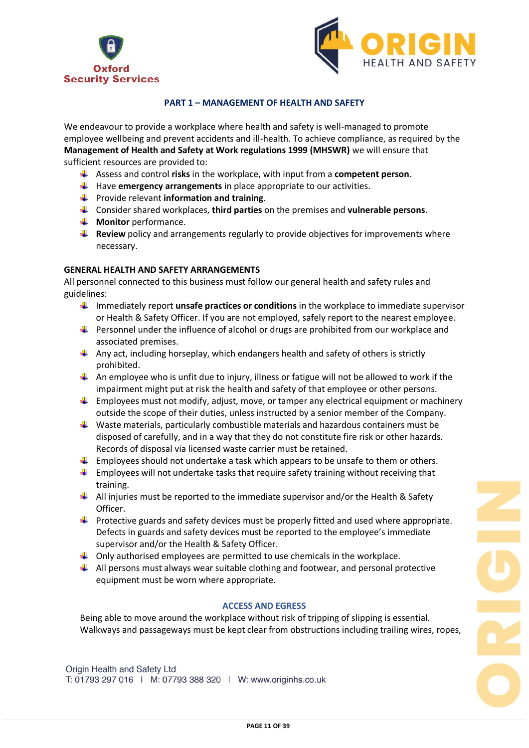



## **PART 1 – MANAGEMENT OF HEALTH AND SAFETY**

We endeavour to provide a workplace where health and safety is well-managed to promote employee wellbeing and prevent accidents and ill-health. To achieve compliance, as required by the **Management of Health and Safety at Work regulations 1999 (MHSWR)** we will ensure that sufficient resources are provided to:

- Assess and control **risks** in the workplace, with input from a **competent person**.
- Have **emergency arrangements** in place appropriate to our activities.
- **Fig. 3** Provide relevant **information and training**.
- Consider shared workplaces, **third parties** on the premises and **vulnerable persons**.
- **Wonitor** performance.
- **Review** policy and arrangements regularly to provide objectives for improvements where necessary.

## **GENERAL HEALTH AND SAFETY ARRANGEMENTS**

All personnel connected to this business must follow our general health and safety rules and guidelines:

- Immediately report **unsafe practices or conditions** in the workplace to immediate supervisor or Health & Safety Officer. If you are not employed, safely report to the nearest employee.
- **Personnel under the influence of alcohol or drugs are prohibited from our workplace and** associated premises.
- $\downarrow$  Any act, including horseplay, which endangers health and safety of others is strictly prohibited.
- An employee who is unfit due to injury, illness or fatigue will not be allowed to work if the impairment might put at risk the health and safety of that employee or other persons.
- $\ddot{\phantom{1}}$  Employees must not modify, adjust, move, or tamper any electrical equipment or machinery outside the scope of their duties, unless instructed by a senior member of the Company.
- $\ddot{\phantom{1}}$  Waste materials, particularly combustible materials and hazardous containers must be disposed of carefully, and in a way that they do not constitute fire risk or other hazards. Records of disposal via licensed waste carrier must be retained.
- $\ddot{\bullet}$  Employees should not undertake a task which appears to be unsafe to them or others.
- $\ddot{\phantom{1}}$  Employees will not undertake tasks that require safety training without receiving that training.
- $\downarrow$  All injuries must be reported to the immediate supervisor and/or the Health & Safety Officer.
- $\ddot{\phantom{1}}$  Protective guards and safety devices must be properly fitted and used where appropriate. Defects in guards and safety devices must be reported to the employee's immediate supervisor and/or the Health & Safety Officer.
- $\downarrow$  Only authorised employees are permitted to use chemicals in the workplace.
- $\downarrow$  All persons must always wear suitable clothing and footwear, and personal protective equipment must be worn where appropriate.

## **ACCESS AND EGRESS**

Being able to move around the workplace without risk of tripping of slipping is essential. Walkways and passageways must be kept clear from obstructions including trailing wires, ropes,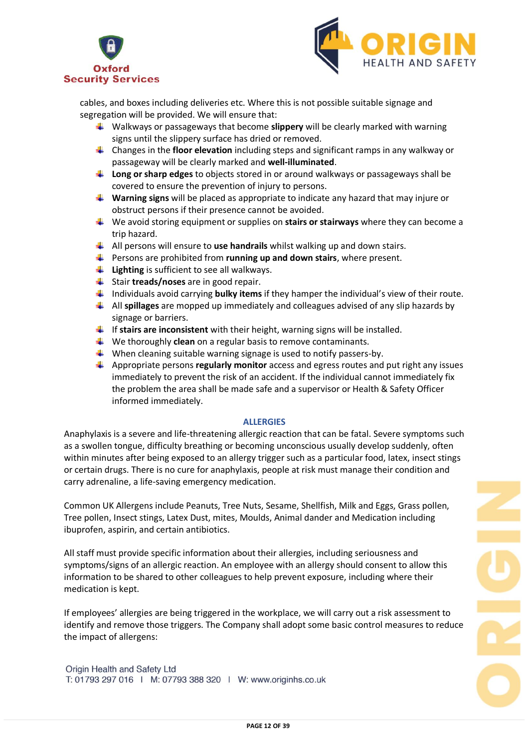



cables, and boxes including deliveries etc. Where this is not possible suitable signage and segregation will be provided. We will ensure that:

- Walkways or passageways that become **slippery** will be clearly marked with warning signs until the slippery surface has dried or removed.
- Changes in the **floor elevation** including steps and significant ramps in any walkway or passageway will be clearly marked and **well-illuminated**.
- **Long or sharp edges** to objects stored in or around walkways or passageways shall be covered to ensure the prevention of injury to persons.
- **Warning signs** will be placed as appropriate to indicate any hazard that may injure or obstruct persons if their presence cannot be avoided.
- We avoid storing equipment or supplies on **stairs or stairways** where they can become a trip hazard.
- All persons will ensure to **use handrails** whilst walking up and down stairs.
- **Fall Persons are prohibited from running up and down stairs**, where present.
- **Lighting** is sufficient to see all walkways.
- Stair **treads/noses** are in good repair.
- Individuals avoid carrying **bulky items** if they hamper the individual's view of their route.
- All **spillages** are mopped up immediately and colleagues advised of any slip hazards by signage or barriers.
- If **stairs are inconsistent** with their height, warning signs will be installed.
- **↓** We thoroughly **clean** on a regular basis to remove contaminants.
- $\downarrow$  When cleaning suitable warning signage is used to notify passers-by.
- Appropriate persons **regularly monitor** access and egress routes and put right any issues immediately to prevent the risk of an accident. If the individual cannot immediately fix the problem the area shall be made safe and a supervisor or Health & Safety Officer informed immediately.

#### **ALLERGIES**

Anaphylaxis is a severe and life-threatening allergic reaction that can be fatal. Severe symptoms such as a swollen tongue, difficulty breathing or becoming unconscious usually develop suddenly, often within minutes after being exposed to an allergy trigger such as a particular food, latex, insect stings or certain drugs. There is no cure for anaphylaxis, people at risk must manage their condition and carry adrenaline, a life-saving emergency medication.

Common UK Allergens include Peanuts, Tree Nuts, Sesame, Shellfish, Milk and Eggs, Grass pollen, Tree pollen, Insect stings, Latex Dust, mites, Moulds, Animal dander and Medication including ibuprofen, aspirin, and certain antibiotics.

All staff must provide specific information about their allergies, including seriousness and symptoms/signs of an allergic reaction. An employee with an allergy should consent to allow this information to be shared to other colleagues to help prevent exposure, including where their medication is kept.

If employees' allergies are being triggered in the workplace, we will carry out a risk assessment to identify and remove those triggers. The Company shall adopt some basic control measures to reduce the impact of allergens: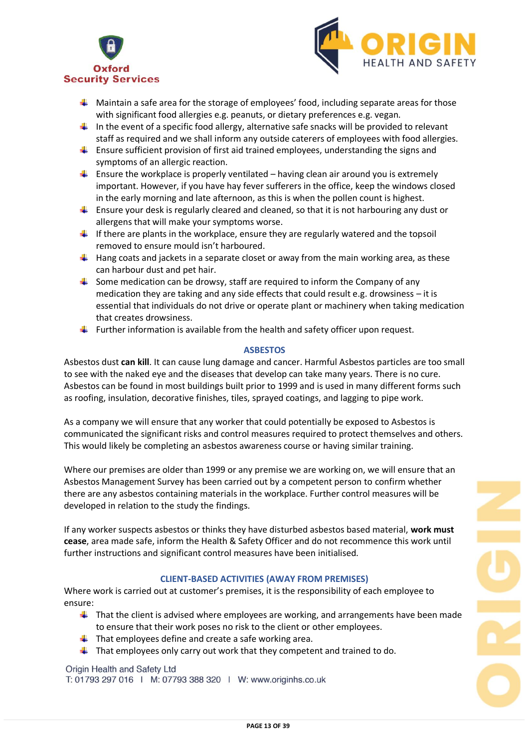



- $\downarrow$  Maintain a safe area for the storage of employees' food, including separate areas for those with significant food allergies e.g. peanuts, or dietary preferences e.g. vegan.
- In the event of a specific food allergy, alternative safe snacks will be provided to relevant staff as required and we shall inform any outside caterers of employees with food allergies.
- $\ddot{\phantom{1}}$  Ensure sufficient provision of first aid trained employees, understanding the signs and symptoms of an allergic reaction.
- **E** Ensure the workplace is properly ventilated having clean air around you is extremely important. However, if you have hay fever sufferers in the office, keep the windows closed in the early morning and late afternoon, as this is when the pollen count is highest.
- **E** Ensure your desk is regularly cleared and cleaned, so that it is not harbouring any dust or allergens that will make your symptoms worse.
- If there are plants in the workplace, ensure they are regularly watered and the topsoil removed to ensure mould isn't harboured.
- $\ddot{+}$  Hang coats and jackets in a separate closet or away from the main working area, as these can harbour dust and pet hair.
- $\ddot{\bullet}$  Some medication can be drowsy, staff are required to inform the Company of any medication they are taking and any side effects that could result e.g. drowsiness – it is essential that individuals do not drive or operate plant or machinery when taking medication that creates drowsiness.
- **Further information is available from the health and safety officer upon request.**

#### **ASBESTOS**

Asbestos dust **can kill**. It can cause lung damage and cancer. Harmful Asbestos particles are too small to see with the naked eye and the diseases that develop can take many years. There is no cure. Asbestos can be found in most buildings built prior to 1999 and is used in many different forms such as roofing, insulation, decorative finishes, tiles, sprayed coatings, and lagging to pipe work.

As a company we will ensure that any worker that could potentially be exposed to Asbestos is communicated the significant risks and control measures required to protect themselves and others. This would likely be completing an asbestos awareness course or having similar training.

Where our premises are older than 1999 or any premise we are working on, we will ensure that an Asbestos Management Survey has been carried out by a competent person to confirm whether there are any asbestos containing materials in the workplace. Further control measures will be developed in relation to the study the findings.

If any worker suspects asbestos or thinks they have disturbed asbestos based material, **work must cease**, area made safe, inform the Health & Safety Officer and do not recommence this work until further instructions and significant control measures have been initialised.

## **CLIENT-BASED ACTIVITIES (AWAY FROM PREMISES)**

Where work is carried out at customer's premises, it is the responsibility of each employee to ensure:

- $\ddot{\phantom{1}}$  That the client is advised where employees are working, and arrangements have been made to ensure that their work poses no risk to the client or other employees.
- $\ddot{\phantom{1}}$  That employees define and create a safe working area.
- $\ddot{\phantom{1}}$  That employees only carry out work that they competent and trained to do.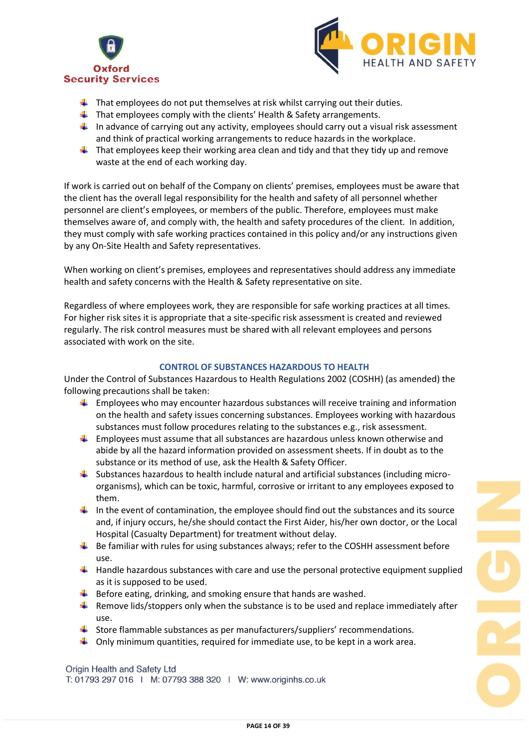



- $\ddot{\phantom{1}}$  That employees do not put themselves at risk whilst carrying out their duties.
- $\ddot{+}$  That employees comply with the clients' Health & Safety arrangements.
- In advance of carrying out any activity, employees should carry out a visual risk assessment and think of practical working arrangements to reduce hazards in the workplace.
- $\downarrow$  That employees keep their working area clean and tidy and that they tidy up and remove waste at the end of each working day.

If work is carried out on behalf of the Company on clients' premises, employees must be aware that the client has the overall legal responsibility for the health and safety of all personnel whether personnel are client's employees, or members of the public. Therefore, employees must make themselves aware of, and comply with, the health and safety procedures of the client. In addition, they must comply with safe working practices contained in this policy and/or any instructions given by any On-Site Health and Safety representatives.

When working on client's premises, employees and representatives should address any immediate health and safety concerns with the Health & Safety representative on site.

Regardless of where employees work, they are responsible for safe working practices at all times. For higher risk sites it is appropriate that a site-specific risk assessment is created and reviewed regularly. The risk control measures must be shared with all relevant employees and persons associated with work on the site.

## **CONTROL OF SUBSTANCES HAZARDOUS TO HEALTH**

Under the Control of Substances Hazardous to Health Regulations 2002 (COSHH) (as amended) the following precautions shall be taken:

- $\downarrow$  Employees who may encounter hazardous substances will receive training and information on the health and safety issues concerning substances. Employees working with hazardous substances must follow procedures relating to the substances e.g., risk assessment.
- **Employees must assume that all substances are hazardous unless known otherwise and** abide by all the hazard information provided on assessment sheets. If in doubt as to the substance or its method of use, ask the Health & Safety Officer.
- $\downarrow$  Substances hazardous to health include natural and artificial substances (including microorganisms), which can be toxic, harmful, corrosive or irritant to any employees exposed to them.
- In the event of contamination, the employee should find out the substances and its source and, if injury occurs, he/she should contact the First Aider, his/her own doctor, or the Local Hospital (Casualty Department) for treatment without delay.
- ₩. Be familiar with rules for using substances always; refer to the COSHH assessment before use.
- $\ddot{\phantom{1}}$  Handle hazardous substances with care and use the personal protective equipment supplied as it is supposed to be used.
- $\ddot{\bullet}$  Before eating, drinking, and smoking ensure that hands are washed.
- **F** Remove lids/stoppers only when the substance is to be used and replace immediately after use.
- $\frac{1}{2}$  Store flammable substances as per manufacturers/suppliers' recommendations.
- $\downarrow$  Only minimum quantities, required for immediate use, to be kept in a work area.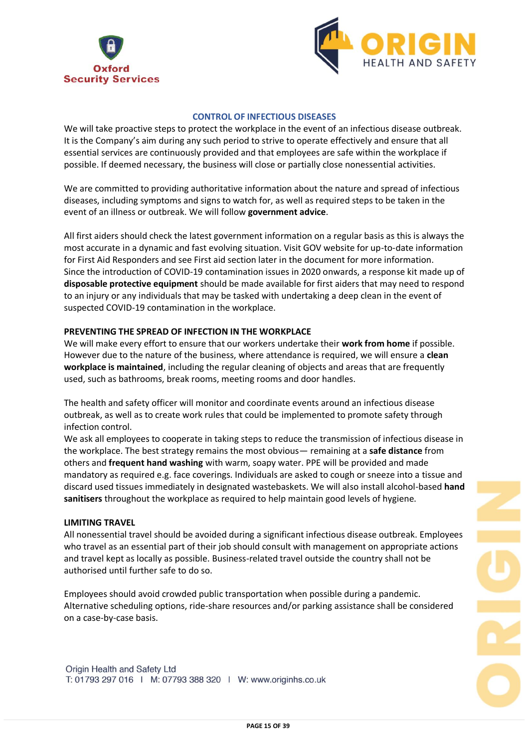



#### **CONTROL OF INFECTIOUS DISEASES**

We will take proactive steps to protect the workplace in the event of an infectious disease outbreak. It is the Company's aim during any such period to strive to operate effectively and ensure that all essential services are continuously provided and that employees are safe within the workplace if possible. If deemed necessary, the business will close or partially close nonessential activities.

We are committed to providing authoritative information about the nature and spread of infectious diseases, including symptoms and signs to watch for, as well as required steps to be taken in the event of an illness or outbreak. We will follow **government advice**.

All first aiders should check the latest government information on a regular basis as this is always the most accurate in a dynamic and fast evolving situation. Visit GOV website for up-to-date information for First Aid Responders and see First aid section later in the document for more information. Since the introduction of COVID-19 contamination issues in 2020 onwards, a response kit made up of **disposable protective equipment** should be made available for first aiders that may need to respond to an injury or any individuals that may be tasked with undertaking a deep clean in the event of suspected COVID-19 contamination in the workplace.

#### **PREVENTING THE SPREAD OF INFECTION IN THE WORKPLACE**

We will make every effort to ensure that our workers undertake their **work from home** if possible. However due to the nature of the business, where attendance is required, we will ensure a **clean workplace is maintained**, including the regular cleaning of objects and areas that are frequently used, such as bathrooms, break rooms, meeting rooms and door handles.

The health and safety officer will monitor and coordinate events around an infectious disease outbreak, as well as to create work rules that could be implemented to promote safety through infection control.

We ask all employees to cooperate in taking steps to reduce the transmission of infectious disease in the workplace. The best strategy remains the most obvious— remaining at a **safe distance** from others and **frequent hand washing** with warm, soapy water. PPE will be provided and made mandatory as required e.g. face coverings. Individuals are asked to cough or sneeze into a tissue and discard used tissues immediately in designated wastebaskets. We will also install alcohol-based **hand sanitisers** throughout the workplace as required to help maintain good levels of hygiene.

#### **LIMITING TRAVEL**

All nonessential travel should be avoided during a significant infectious disease outbreak. Employees who travel as an essential part of their job should consult with management on appropriate actions and travel kept as locally as possible. Business-related travel outside the country shall not be authorised until further safe to do so.

Employees should avoid crowded public transportation when possible during a pandemic. Alternative scheduling options, ride-share resources and/or parking assistance shall be considered on a case-by-case basis.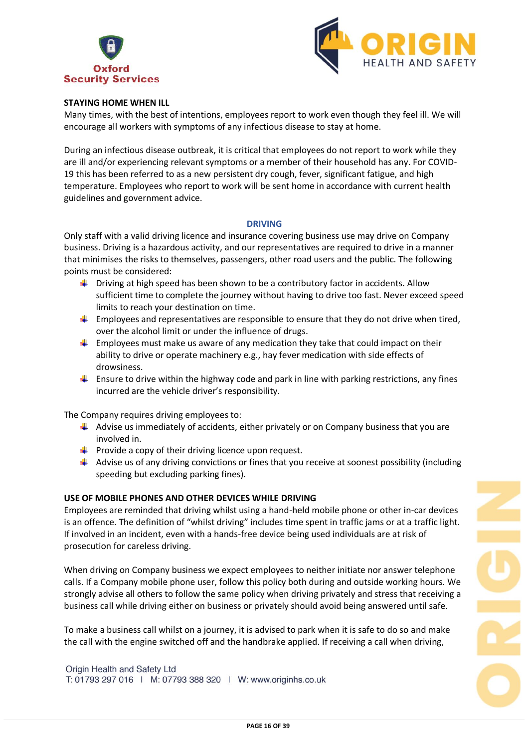



## **STAYING HOME WHEN ILL**

Many times, with the best of intentions, employees report to work even though they feel ill. We will encourage all workers with symptoms of any infectious disease to stay at home.

During an infectious disease outbreak, it is critical that employees do not report to work while they are ill and/or experiencing relevant symptoms or a member of their household has any. For COVID-19 this has been referred to as a new persistent dry cough, fever, significant fatigue, and high temperature. Employees who report to work will be sent home in accordance with current health guidelines and government advice.

#### **DRIVING**

Only staff with a valid driving licence and insurance covering business use may drive on Company business. Driving is a hazardous activity, and our representatives are required to drive in a manner that minimises the risks to themselves, passengers, other road users and the public. The following points must be considered:

- $\downarrow$  Driving at high speed has been shown to be a contributory factor in accidents. Allow sufficient time to complete the journey without having to drive too fast. Never exceed speed limits to reach your destination on time.
- $\downarrow$  Employees and representatives are responsible to ensure that they do not drive when tired, over the alcohol limit or under the influence of drugs.
- $\ddot{\phantom{1}}$  Employees must make us aware of any medication they take that could impact on their ability to drive or operate machinery e.g., hay fever medication with side effects of drowsiness.
- $\ddot{\phantom{1}}$  Ensure to drive within the highway code and park in line with parking restrictions, any fines incurred are the vehicle driver's responsibility.

The Company requires driving employees to:

- $\blacktriangleleft$  Advise us immediately of accidents, either privately or on Company business that you are involved in.
- $\ddot{\phantom{1}}$  Provide a copy of their driving licence upon request.
- $\downarrow$  Advise us of any driving convictions or fines that you receive at soonest possibility (including speeding but excluding parking fines).

#### **USE OF MOBILE PHONES AND OTHER DEVICES WHILE DRIVING**

Employees are reminded that driving whilst using a hand-held mobile phone or other in-car devices is an offence. The definition of "whilst driving" includes time spent in traffic jams or at a traffic light. If involved in an incident, even with a hands-free device being used individuals are at risk of prosecution for careless driving.

When driving on Company business we expect employees to neither initiate nor answer telephone calls. If a Company mobile phone user, follow this policy both during and outside working hours. We strongly advise all others to follow the same policy when driving privately and stress that receiving a business call while driving either on business or privately should avoid being answered until safe.

To make a business call whilst on a journey, it is advised to park when it is safe to do so and make the call with the engine switched off and the handbrake applied. If receiving a call when driving,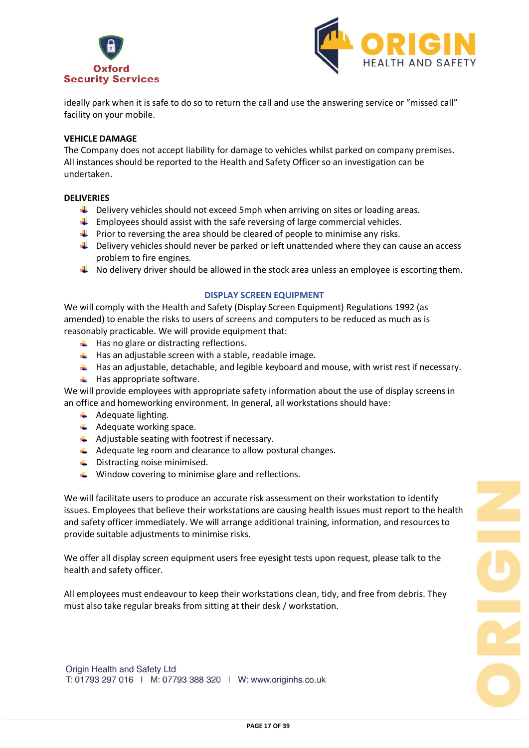



ideally park when it is safe to do so to return the call and use the answering service or "missed call" facility on your mobile.

#### **VEHICLE DAMAGE**

The Company does not accept liability for damage to vehicles whilst parked on company premises. All instances should be reported to the Health and Safety Officer so an investigation can be undertaken.

#### **DELIVERIES**

- $\downarrow$  Delivery vehicles should not exceed 5mph when arriving on sites or loading areas.
- $\ddot{\phantom{1}}$  Employees should assist with the safe reversing of large commercial vehicles.
- $\ddot{\phantom{1}}$  Prior to reversing the area should be cleared of people to minimise any risks.
- $\ddot{\phantom{1}}$  Delivery vehicles should never be parked or left unattended where they can cause an access problem to fire engines.
- $\ddot{+}$  No delivery driver should be allowed in the stock area unless an employee is escorting them.

#### **DISPLAY SCREEN EQUIPMENT**

We will comply with the Health and Safety (Display Screen Equipment) Regulations 1992 (as amended) to enable the risks to users of screens and computers to be reduced as much as is reasonably practicable. We will provide equipment that:

- $\ddot{\bullet}$  Has no glare or distracting reflections.
- $\downarrow$  Has an adjustable screen with a stable, readable image.
- $\downarrow$  Has an adjustable, detachable, and legible keyboard and mouse, with wrist rest if necessary.
- $\overline{\phantom{a}}$  Has appropriate software.

We will provide employees with appropriate safety information about the use of display screens in an office and homeworking environment. In general, all workstations should have:

- $\overline{\phantom{a}}$  Adequate lighting.
- $\overline{\phantom{a}}$  Adequate working space.
- $\ddot{+}$  Adjustable seating with footrest if necessary.
- $\downarrow$  Adequate leg room and clearance to allow postural changes.
- **↓** Distracting noise minimised.
- $\ddot{\phantom{1}}$  Window covering to minimise glare and reflections.

We will facilitate users to produce an accurate risk assessment on their workstation to identify issues. Employees that believe their workstations are causing health issues must report to the health and safety officer immediately. We will arrange additional training, information, and resources to provide suitable adjustments to minimise risks.

We offer all display screen equipment users free eyesight tests upon request, please talk to the health and safety officer.

All employees must endeavour to keep their workstations clean, tidy, and free from debris. They must also take regular breaks from sitting at their desk / workstation.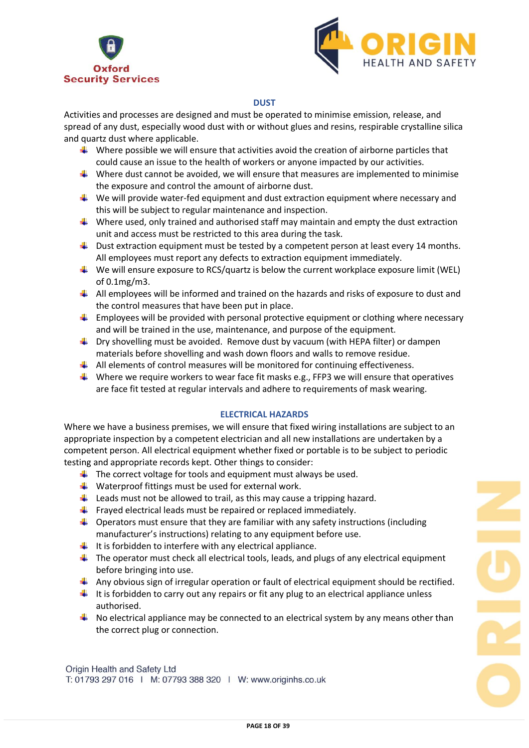



## **DUST**

Activities and processes are designed and must be operated to minimise emission, release, and spread of any dust, especially wood dust with or without glues and resins, respirable crystalline silica and quartz dust where applicable.

- $\downarrow$  Where possible we will ensure that activities avoid the creation of airborne particles that could cause an issue to the health of workers or anyone impacted by our activities.
- Where dust cannot be avoided, we will ensure that measures are implemented to minimise the exposure and control the amount of airborne dust.
- $\ddot{\phantom{1}}$  We will provide water-fed equipment and dust extraction equipment where necessary and this will be subject to regular maintenance and inspection.
- Where used, only trained and authorised staff may maintain and empty the dust extraction unit and access must be restricted to this area during the task.
- $\ddot{\phantom{1}}$  Dust extraction equipment must be tested by a competent person at least every 14 months. All employees must report any defects to extraction equipment immediately.
- $\ddot{+}$  We will ensure exposure to RCS/quartz is below the current workplace exposure limit (WEL) of 0.1mg/m3.
- $\downarrow$  All employees will be informed and trained on the hazards and risks of exposure to dust and the control measures that have been put in place.
- $\ddot{\phantom{1}}$  Employees will be provided with personal protective equipment or clothing where necessary and will be trained in the use, maintenance, and purpose of the equipment.
- **U** Dry shovelling must be avoided. Remove dust by vacuum (with HEPA filter) or dampen materials before shovelling and wash down floors and walls to remove residue.
- $\downarrow$  All elements of control measures will be monitored for continuing effectiveness.
- Where we require workers to wear face fit masks e.g., FFP3 we will ensure that operatives are face fit tested at regular intervals and adhere to requirements of mask wearing.

## **ELECTRICAL HAZARDS**

Where we have a business premises, we will ensure that fixed wiring installations are subject to an appropriate inspection by a competent electrician and all new installations are undertaken by a competent person. All electrical equipment whether fixed or portable is to be subject to periodic testing and appropriate records kept. Other things to consider:

- $\ddot{\phantom{1}}$  The correct voltage for tools and equipment must always be used.
- $\downarrow$  Waterproof fittings must be used for external work.
- $\downarrow$  Leads must not be allowed to trail, as this may cause a tripping hazard.
- $\ddot{\phantom{1}}$  Frayed electrical leads must be repaired or replaced immediately.
- $\downarrow$  Operators must ensure that they are familiar with any safety instructions (including manufacturer's instructions) relating to any equipment before use.
- $\ddot{\phantom{1}}$  It is forbidden to interfere with any electrical appliance.
- $\ddot{\phantom{1}}$  The operator must check all electrical tools, leads, and plugs of any electrical equipment before bringing into use.
- $\downarrow$  Any obvious sign of irregular operation or fault of electrical equipment should be rectified.
- $\downarrow$  It is forbidden to carry out any repairs or fit any plug to an electrical appliance unless authorised.
- $\downarrow$  No electrical appliance may be connected to an electrical system by any means other than the correct plug or connection.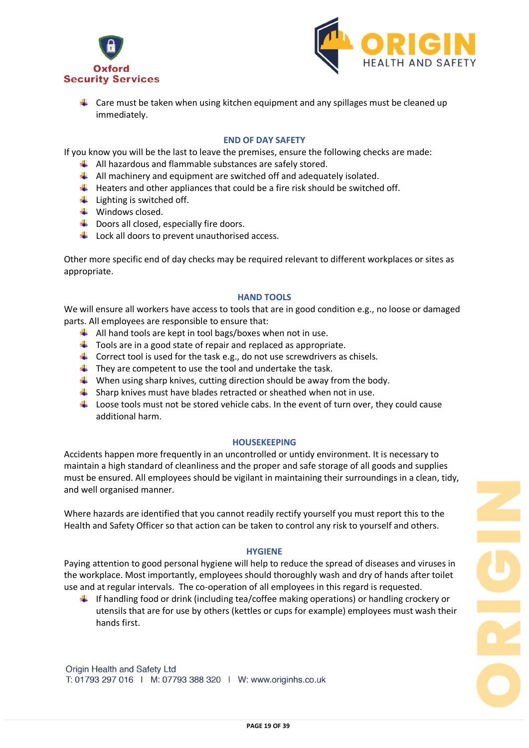



 $\ddot{\phantom{1}}$  Care must be taken when using kitchen equipment and any spillages must be cleaned up immediately.

## **END OF DAY SAFETY**

If you know you will be the last to leave the premises, ensure the following checks are made:

- $\leftarrow$  All hazardous and flammable substances are safely stored.
- $\downarrow$  All machinery and equipment are switched off and adequately isolated.
- $\ddot{\phantom{1}}$  Heaters and other appliances that could be a fire risk should be switched off.
- $\ddot{\bullet}$  Lighting is switched off.
- $\ddot{\bullet}$  Windows closed.
- $\downarrow$  Doors all closed, especially fire doors.
- $\downarrow$  Lock all doors to prevent unauthorised access.

Other more specific end of day checks may be required relevant to different workplaces or sites as appropriate.

#### **HAND TOOLS**

We will ensure all workers have access to tools that are in good condition e.g., no loose or damaged parts. All employees are responsible to ensure that:

- $\downarrow$  All hand tools are kept in tool bags/boxes when not in use.
- $\ddot{\phantom{1}}$  Tools are in a good state of repair and replaced as appropriate.
- $\downarrow$  Correct tool is used for the task e.g., do not use screwdrivers as chisels.
- $\ddot{+}$  They are competent to use the tool and undertake the task.
- $\downarrow$  When using sharp knives, cutting direction should be away from the body.
- $\ddot{\phantom{1}}$  Sharp knives must have blades retracted or sheathed when not in use.
- $\ddot{\phantom{1}}$  Loose tools must not be stored vehicle cabs. In the event of turn over, they could cause additional harm.

#### **HOUSEKEEPING**

Accidents happen more frequently in an uncontrolled or untidy environment. It is necessary to maintain a high standard of cleanliness and the proper and safe storage of all goods and supplies must be ensured. All employees should be vigilant in maintaining their surroundings in a clean, tidy, and well organised manner.

Where hazards are identified that you cannot readily rectify yourself you must report this to the Health and Safety Officer so that action can be taken to control any risk to yourself and others.

#### **HYGIENE**

Paying attention to good personal hygiene will help to reduce the spread of diseases and viruses in the workplace. Most importantly, employees should thoroughly wash and dry of hands after toilet use and at regular intervals. The co-operation of all employees in this regard is requested.

If handling food or drink (including tea/coffee making operations) or handling crockery or utensils that are for use by others (kettles or cups for example) employees must wash their hands first.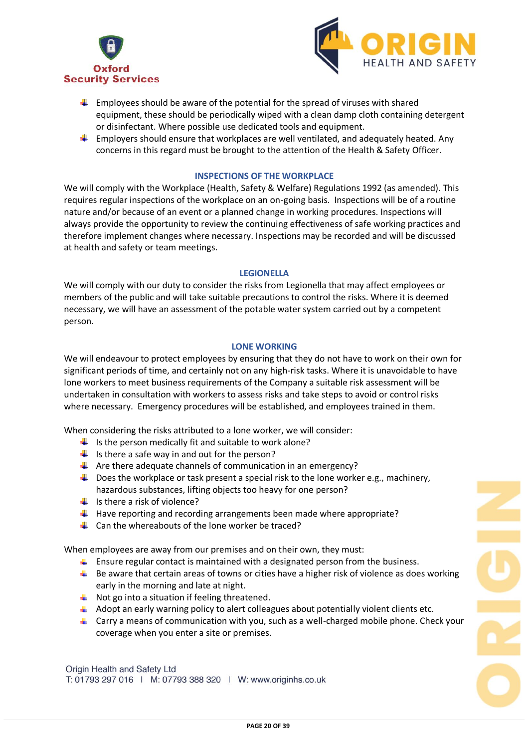



- $\ddot{\phantom{1}}$  Employees should be aware of the potential for the spread of viruses with shared equipment, these should be periodically wiped with a clean damp cloth containing detergent or disinfectant. Where possible use dedicated tools and equipment.
- $\ddot{\phantom{1}}$  Employers should ensure that workplaces are well ventilated, and adequately heated. Any concerns in this regard must be brought to the attention of the Health & Safety Officer.

#### **INSPECTIONS OF THE WORKPLACE**

We will comply with the Workplace (Health, Safety & Welfare) Regulations 1992 (as amended). This requires regular inspections of the workplace on an on-going basis. Inspections will be of a routine nature and/or because of an event or a planned change in working procedures. Inspections will always provide the opportunity to review the continuing effectiveness of safe working practices and therefore implement changes where necessary. Inspections may be recorded and will be discussed at health and safety or team meetings.

#### **LEGIONELLA**

We will comply with our duty to consider the risks from Legionella that may affect employees or members of the public and will take suitable precautions to control the risks. Where it is deemed necessary, we will have an assessment of the potable water system carried out by a competent person.

#### **LONE WORKING**

We will endeavour to protect employees by ensuring that they do not have to work on their own for significant periods of time, and certainly not on any high-risk tasks. Where it is unavoidable to have lone workers to meet business requirements of the Company a suitable risk assessment will be undertaken in consultation with workers to assess risks and take steps to avoid or control risks where necessary. Emergency procedures will be established, and employees trained in them.

When considering the risks attributed to a lone worker, we will consider:

- $\ddot{+}$  Is the person medically fit and suitable to work alone?
- $\downarrow$  Is there a safe way in and out for the person?
- $\downarrow$  Are there adequate channels of communication in an emergency?
- $\downarrow$  Does the workplace or task present a special risk to the lone worker e.g., machinery, hazardous substances, lifting objects too heavy for one person?
- $\frac{1}{1}$  Is there a risk of violence?
- $\ddot{\phantom{1}}$  Have reporting and recording arrangements been made where appropriate?
- $\downarrow$  Can the whereabouts of the lone worker be traced?

When employees are away from our premises and on their own, they must:

- **E** Ensure regular contact is maintained with a designated person from the business.
- $\downarrow$  Be aware that certain areas of towns or cities have a higher risk of violence as does working early in the morning and late at night.
- $\overline{\phantom{a}}$  Not go into a situation if feeling threatened.
- $\ddot{\phantom{1}}$  Adopt an early warning policy to alert colleagues about potentially violent clients etc.
- $\downarrow$  Carry a means of communication with you, such as a well-charged mobile phone. Check your coverage when you enter a site or premises.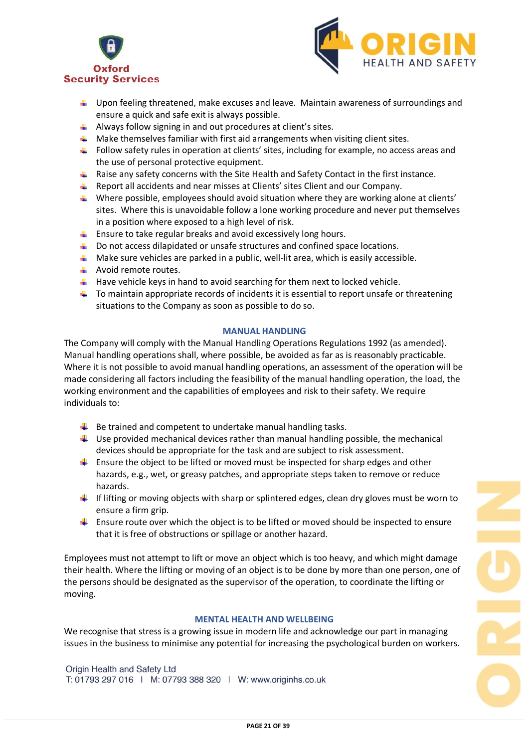



- $\ddot{\phantom{1}}$  Upon feeling threatened, make excuses and leave. Maintain awareness of surroundings and ensure a quick and safe exit is always possible.
- $\ddot{+}$  Always follow signing in and out procedures at client's sites.
- $\uparrow$  Make themselves familiar with first aid arrangements when visiting client sites.
- Follow safety rules in operation at clients' sites, including for example, no access areas and the use of personal protective equipment.
- $\ddot{\phantom{1}}$  Raise any safety concerns with the Site Health and Safety Contact in the first instance.
- **E** Report all accidents and near misses at Clients' sites Client and our Company.
- Where possible, employees should avoid situation where they are working alone at clients' sites. Where this is unavoidable follow a lone working procedure and never put themselves in a position where exposed to a high level of risk.
- $\uparrow$  Ensure to take regular breaks and avoid excessively long hours.
- $\Box$  Do not access dilapidated or unsafe structures and confined space locations.
- $\ddotmark$  Make sure vehicles are parked in a public, well-lit area, which is easily accessible.
- $\overline{\phantom{a} \bullet}$  Avoid remote routes.
- $\ddot{\phantom{1}}$  Have vehicle keys in hand to avoid searching for them next to locked vehicle.
- $\downarrow$  To maintain appropriate records of incidents it is essential to report unsafe or threatening situations to the Company as soon as possible to do so.

#### **MANUAL HANDLING**

The Company will comply with the Manual Handling Operations Regulations 1992 (as amended). Manual handling operations shall, where possible, be avoided as far as is reasonably practicable. Where it is not possible to avoid manual handling operations, an assessment of the operation will be made considering all factors including the feasibility of the manual handling operation, the load, the working environment and the capabilities of employees and risk to their safety. We require individuals to:

- $\ddot{\phantom{1}}$  Be trained and competent to undertake manual handling tasks.
- $\downarrow$  Use provided mechanical devices rather than manual handling possible, the mechanical devices should be appropriate for the task and are subject to risk assessment.
- $\ddot{\phantom{1}}$  Ensure the object to be lifted or moved must be inspected for sharp edges and other hazards, e.g., wet, or greasy patches, and appropriate steps taken to remove or reduce hazards.
- $\ddot{\phantom{1}}$  If lifting or moving objects with sharp or splintered edges, clean dry gloves must be worn to ensure a firm grip.
- $\ddot{\phantom{1}}$  Ensure route over which the object is to be lifted or moved should be inspected to ensure that it is free of obstructions or spillage or another hazard.

Employees must not attempt to lift or move an object which is too heavy, and which might damage their health. Where the lifting or moving of an object is to be done by more than one person, one of the persons should be designated as the supervisor of the operation, to coordinate the lifting or moving.

## **MENTAL HEALTH AND WELLBEING**

We recognise that stress is a growing issue in modern life and acknowledge our part in managing issues in the business to minimise any potential for increasing the psychological burden on workers.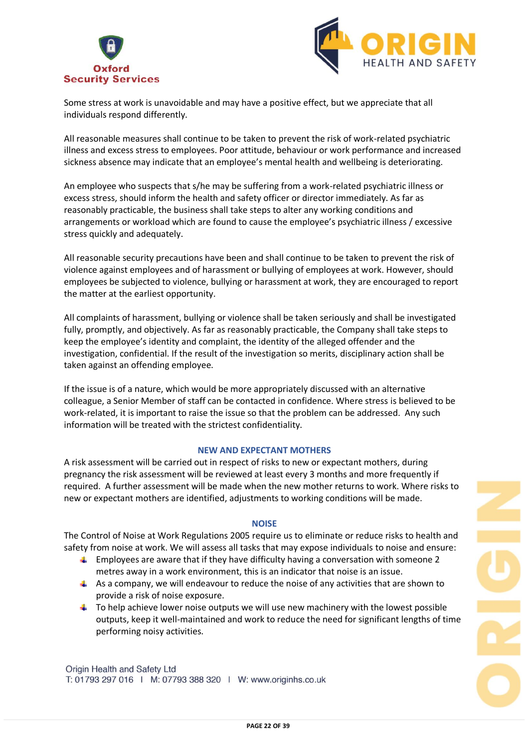



Some stress at work is unavoidable and may have a positive effect, but we appreciate that all individuals respond differently.

All reasonable measures shall continue to be taken to prevent the risk of work-related psychiatric illness and excess stress to employees. Poor attitude, behaviour or work performance and increased sickness absence may indicate that an employee's mental health and wellbeing is deteriorating.

An employee who suspects that s/he may be suffering from a work-related psychiatric illness or excess stress, should inform the health and safety officer or director immediately. As far as reasonably practicable, the business shall take steps to alter any working conditions and arrangements or workload which are found to cause the employee's psychiatric illness / excessive stress quickly and adequately.

All reasonable security precautions have been and shall continue to be taken to prevent the risk of violence against employees and of harassment or bullying of employees at work. However, should employees be subjected to violence, bullying or harassment at work, they are encouraged to report the matter at the earliest opportunity.

All complaints of harassment, bullying or violence shall be taken seriously and shall be investigated fully, promptly, and objectively. As far as reasonably practicable, the Company shall take steps to keep the employee's identity and complaint, the identity of the alleged offender and the investigation, confidential. If the result of the investigation so merits, disciplinary action shall be taken against an offending employee.

If the issue is of a nature, which would be more appropriately discussed with an alternative colleague, a Senior Member of staff can be contacted in confidence. Where stress is believed to be work-related, it is important to raise the issue so that the problem can be addressed. Any such information will be treated with the strictest confidentiality.

## **NEW AND EXPECTANT MOTHERS**

A risk assessment will be carried out in respect of risks to new or expectant mothers, during pregnancy the risk assessment will be reviewed at least every 3 months and more frequently if required. A further assessment will be made when the new mother returns to work. Where risks to new or expectant mothers are identified, adjustments to working conditions will be made.

#### **NOISE**

The Control of Noise at Work Regulations 2005 require us to eliminate or reduce risks to health and safety from noise at work. We will assess all tasks that may expose individuals to noise and ensure:

- $\ddot{\phantom{1}}$  Employees are aware that if they have difficulty having a conversation with someone 2 metres away in a work environment, this is an indicator that noise is an issue.
- $\uparrow$  As a company, we will endeavour to reduce the noise of any activities that are shown to provide a risk of noise exposure.
- $\uparrow$  To help achieve lower noise outputs we will use new machinery with the lowest possible outputs, keep it well-maintained and work to reduce the need for significant lengths of time performing noisy activities.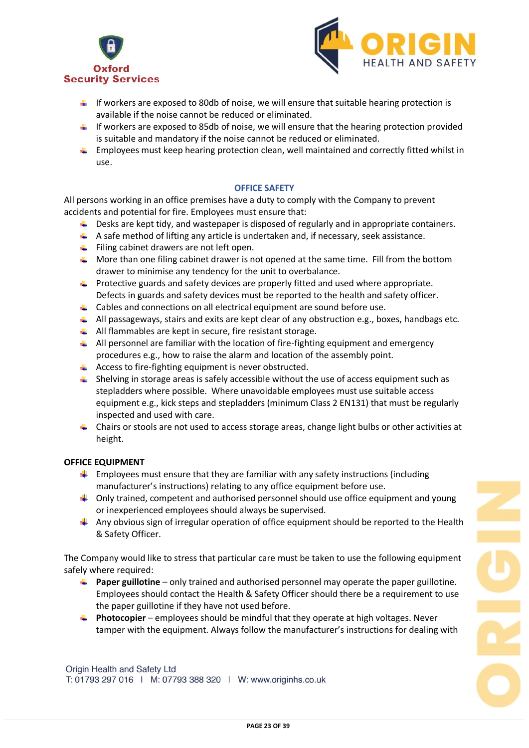



- $\ddot{\phantom{1}}$  If workers are exposed to 80db of noise, we will ensure that suitable hearing protection is available if the noise cannot be reduced or eliminated.
- $\ddot{\phantom{1}}$  If workers are exposed to 85db of noise, we will ensure that the hearing protection provided is suitable and mandatory if the noise cannot be reduced or eliminated.
- $\uparrow$  Employees must keep hearing protection clean, well maintained and correctly fitted whilst in use.

## **OFFICE SAFETY**

All persons working in an office premises have a duty to comply with the Company to prevent accidents and potential for fire. Employees must ensure that:

- $\downarrow$  Desks are kept tidy, and wastepaper is disposed of regularly and in appropriate containers.
- $\uparrow$  A safe method of lifting any article is undertaken and, if necessary, seek assistance.
- $\ddot{+}$  Filing cabinet drawers are not left open.
- $\ddot{\bullet}$  More than one filing cabinet drawer is not opened at the same time. Fill from the bottom drawer to minimise any tendency for the unit to overbalance.
- $\ddot{\phantom{1}}$  Protective guards and safety devices are properly fitted and used where appropriate. Defects in guards and safety devices must be reported to the health and safety officer.
- $\triangleq$  Cables and connections on all electrical equipment are sound before use.
- $\downarrow$  All passageways, stairs and exits are kept clear of any obstruction e.g., boxes, handbags etc.
- $\downarrow$  All flammables are kept in secure, fire resistant storage.
- $\downarrow$  All personnel are familiar with the location of fire-fighting equipment and emergency procedures e.g., how to raise the alarm and location of the assembly point.
- $\ddot{+}$  Access to fire-fighting equipment is never obstructed.
- $\uparrow$  Shelving in storage areas is safely accessible without the use of access equipment such as stepladders where possible. Where unavoidable employees must use suitable access equipment e.g., kick steps and stepladders (minimum Class 2 EN131) that must be regularly inspected and used with care.
- $\downarrow$  Chairs or stools are not used to access storage areas, change light bulbs or other activities at height.

## **OFFICE EQUIPMENT**

- $\ddot{\phantom{1}}$  Employees must ensure that they are familiar with any safety instructions (including manufacturer's instructions) relating to any office equipment before use.
- $\ddot{\phantom{1}}$  Only trained, competent and authorised personnel should use office equipment and young or inexperienced employees should always be supervised.
- $\downarrow$  Any obvious sign of irregular operation of office equipment should be reported to the Health & Safety Officer.

The Company would like to stress that particular care must be taken to use the following equipment safely where required:

- **Paper guillotine** only trained and authorised personnel may operate the paper guillotine. Employees should contact the Health & Safety Officer should there be a requirement to use the paper guillotine if they have not used before.
- **Photocopier** employees should be mindful that they operate at high voltages. Never tamper with the equipment. Always follow the manufacturer's instructions for dealing with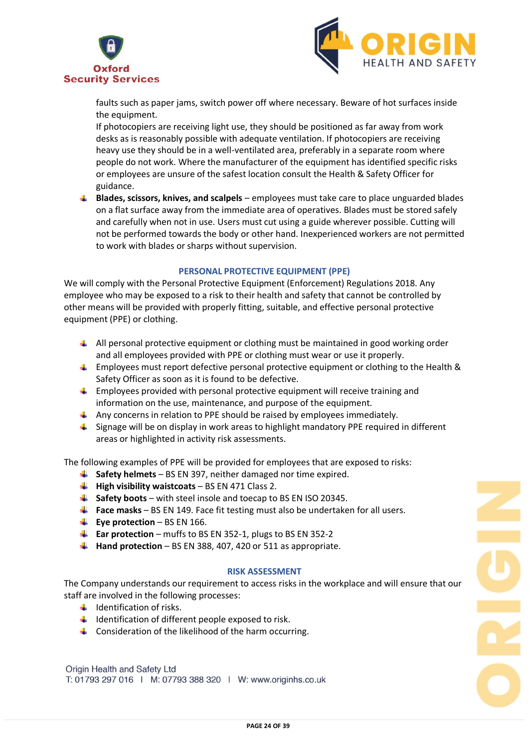



faults such as paper jams, switch power off where necessary. Beware of hot surfaces inside the equipment.

If photocopiers are receiving light use, they should be positioned as far away from work desks as is reasonably possible with adequate ventilation. If photocopiers are receiving heavy use they should be in a well-ventilated area, preferably in a separate room where people do not work. Where the manufacturer of the equipment has identified specific risks or employees are unsure of the safest location consult the Health & Safety Officer for guidance.

**Blades, scissors, knives, and scalpels** – employees must take care to place unguarded blades on a flat surface away from the immediate area of operatives. Blades must be stored safely and carefully when not in use. Users must cut using a guide wherever possible. Cutting will not be performed towards the body or other hand. Inexperienced workers are not permitted to work with blades or sharps without supervision.

## **PERSONAL PROTECTIVE EQUIPMENT (PPE)**

We will comply with the Personal Protective Equipment (Enforcement) Regulations 2018. Any employee who may be exposed to a risk to their health and safety that cannot be controlled by other means will be provided with properly fitting, suitable, and effective personal protective equipment (PPE) or clothing.

- $\downarrow$  All personal protective equipment or clothing must be maintained in good working order and all employees provided with PPE or clothing must wear or use it properly.
- **Employees must report defective personal protective equipment or clothing to the Health &** Safety Officer as soon as it is found to be defective.
- $\ddot{\bullet}$  Employees provided with personal protective equipment will receive training and information on the use, maintenance, and purpose of the equipment.
- $\uparrow$  Any concerns in relation to PPE should be raised by employees immediately.
- **L** Signage will be on display in work areas to highlight mandatory PPE required in different areas or highlighted in activity risk assessments.

The following examples of PPE will be provided for employees that are exposed to risks:

- **Safety helmets** BS EN 397, neither damaged nor time expired.
- **High visibility waistcoats** BS EN 471 Class 2.
- **Safety boots** with steel insole and toecap to BS EN ISO 20345.
- **Face masks** BS EN 149. Face fit testing must also be undertaken for all users.
- **Eye protection** BS EN 166.
- **Ear protection** muffs to BS EN 352-1, plugs to BS EN 352-2
- **Hand protection** BS EN 388, 407, 420 or 511 as appropriate.

#### **RISK ASSESSMENT**

The Company understands our requirement to access risks in the workplace and will ensure that our staff are involved in the following processes:

- $\ddot{\bullet}$  Identification of risks.
- $\ddot{\phantom{1}}$  Identification of different people exposed to risk.
- 4 Consideration of the likelihood of the harm occurring.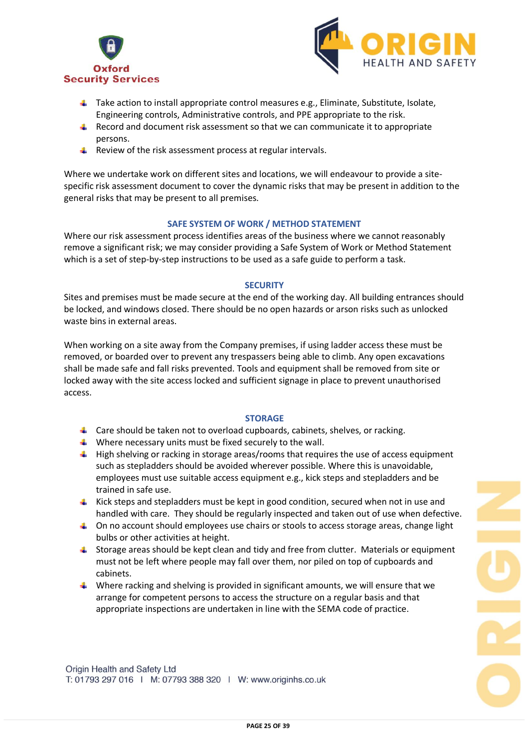



- $\ddot{\phantom{1}}$  Take action to install appropriate control measures e.g., Eliminate, Substitute, Isolate, Engineering controls, Administrative controls, and PPE appropriate to the risk.
- $\ddot{\bullet}$  Record and document risk assessment so that we can communicate it to appropriate persons.
- $\ddot{+}$  Review of the risk assessment process at regular intervals.

Where we undertake work on different sites and locations, we will endeavour to provide a sitespecific risk assessment document to cover the dynamic risks that may be present in addition to the general risks that may be present to all premises.

## **SAFE SYSTEM OF WORK / METHOD STATEMENT**

Where our risk assessment process identifies areas of the business where we cannot reasonably remove a significant risk; we may consider providing a Safe System of Work or Method Statement which is a set of step-by-step instructions to be used as a safe guide to perform a task.

#### **SECURITY**

Sites and premises must be made secure at the end of the working day. All building entrances should be locked, and windows closed. There should be no open hazards or arson risks such as unlocked waste bins in external areas.

When working on a site away from the Company premises, if using ladder access these must be removed, or boarded over to prevent any trespassers being able to climb. Any open excavations shall be made safe and fall risks prevented. Tools and equipment shall be removed from site or locked away with the site access locked and sufficient signage in place to prevent unauthorised access.

## **STORAGE**

- $\downarrow$  Care should be taken not to overload cupboards, cabinets, shelves, or racking.
- $\ddot{\phantom{1}}$  Where necessary units must be fixed securely to the wall.
- $\downarrow$  High shelving or racking in storage areas/rooms that requires the use of access equipment such as stepladders should be avoided wherever possible. Where this is unavoidable, employees must use suitable access equipment e.g., kick steps and stepladders and be trained in safe use.
- **Kick steps and stepladders must be kept in good condition, secured when not in use and** handled with care. They should be regularly inspected and taken out of use when defective.
- $\Box$  On no account should employees use chairs or stools to access storage areas, change light bulbs or other activities at height.
- $\ddot{\phantom{1}}$  Storage areas should be kept clean and tidy and free from clutter. Materials or equipment must not be left where people may fall over them, nor piled on top of cupboards and cabinets.
- $\downarrow$  Where racking and shelving is provided in significant amounts, we will ensure that we arrange for competent persons to access the structure on a regular basis and that appropriate inspections are undertaken in line with the SEMA code of practice.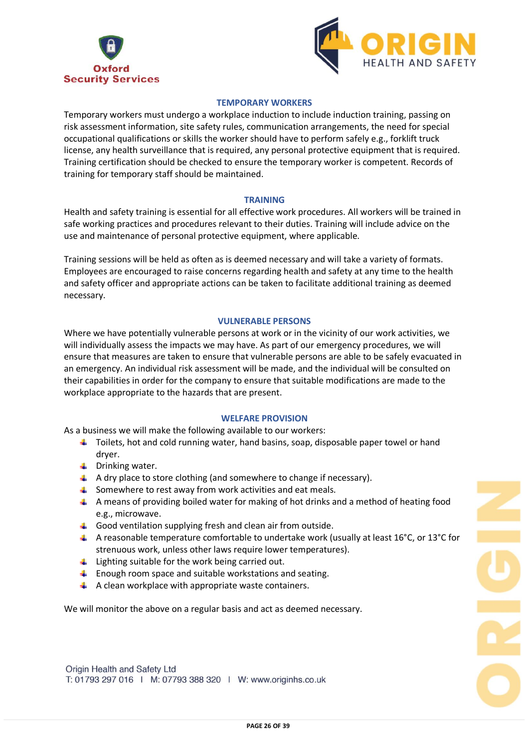



## **TEMPORARY WORKERS**

Temporary workers must undergo a workplace induction to include induction training, passing on risk assessment information, site safety rules, communication arrangements, the need for special occupational qualifications or skills the worker should have to perform safely e.g., forklift truck license, any health surveillance that is required, any personal protective equipment that is required. Training certification should be checked to ensure the temporary worker is competent. Records of training for temporary staff should be maintained.

#### **TRAINING**

Health and safety training is essential for all effective work procedures. All workers will be trained in safe working practices and procedures relevant to their duties. Training will include advice on the use and maintenance of personal protective equipment, where applicable.

Training sessions will be held as often as is deemed necessary and will take a variety of formats. Employees are encouraged to raise concerns regarding health and safety at any time to the health and safety officer and appropriate actions can be taken to facilitate additional training as deemed necessary.

## **VULNERABLE PERSONS**

Where we have potentially vulnerable persons at work or in the vicinity of our work activities, we will individually assess the impacts we may have. As part of our emergency procedures, we will ensure that measures are taken to ensure that vulnerable persons are able to be safely evacuated in an emergency. An individual risk assessment will be made, and the individual will be consulted on their capabilities in order for the company to ensure that suitable modifications are made to the workplace appropriate to the hazards that are present.

## **WELFARE PROVISION**

As a business we will make the following available to our workers:

- $\ddot{\phantom{1}}$  Toilets, hot and cold running water, hand basins, soap, disposable paper towel or hand dryer.
- $\downarrow$  Drinking water.
- $\downarrow$  A dry place to store clothing (and somewhere to change if necessary).
- $\ddot{\bullet}$  Somewhere to rest away from work activities and eat meals.
- A means of providing boiled water for making of hot drinks and a method of heating food e.g., microwave.
- $\downarrow$  Good ventilation supplying fresh and clean air from outside.
- A reasonable temperature comfortable to undertake work (usually at least  $16^{\circ}$ C, or  $13^{\circ}$ C for strenuous work, unless other laws require lower temperatures).
- Lighting suitable for the work being carried out.
- $\downarrow$  Enough room space and suitable workstations and seating.
- $\uparrow$  A clean workplace with appropriate waste containers.

We will monitor the above on a regular basis and act as deemed necessary.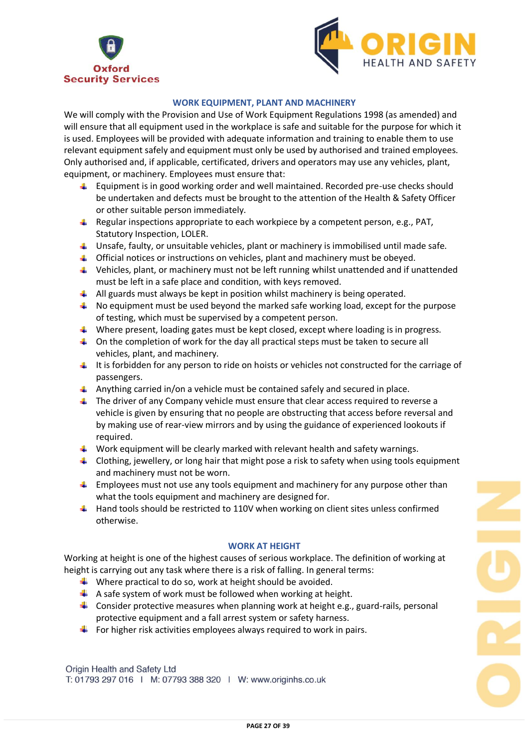



## **WORK EQUIPMENT, PLANT AND MACHINERY**

We will comply with the Provision and Use of Work Equipment Regulations 1998 (as amended) and will ensure that all equipment used in the workplace is safe and suitable for the purpose for which it is used. Employees will be provided with adequate information and training to enable them to use relevant equipment safely and equipment must only be used by authorised and trained employees. Only authorised and, if applicable, certificated, drivers and operators may use any vehicles, plant, equipment, or machinery. Employees must ensure that:

- $\ddot{\phantom{1}}$  Equipment is in good working order and well maintained. Recorded pre-use checks should be undertaken and defects must be brought to the attention of the Health & Safety Officer or other suitable person immediately.
- Regular inspections appropriate to each workpiece by a competent person, e.g., PAT, Statutory Inspection, LOLER.
- **Unsafe, faulty, or unsuitable vehicles, plant or machinery is immobilised until made safe.**
- $\downarrow$  Official notices or instructions on vehicles, plant and machinery must be obeyed.
- $\ddot{\phantom{1}}$  Vehicles, plant, or machinery must not be left running whilst unattended and if unattended must be left in a safe place and condition, with keys removed.
- All guards must always be kept in position whilst machinery is being operated.
- $\downarrow$  No equipment must be used beyond the marked safe working load, except for the purpose of testing, which must be supervised by a competent person.
- Where present, loading gates must be kept closed, except where loading is in progress.
- $\downarrow$  On the completion of work for the day all practical steps must be taken to secure all vehicles, plant, and machinery.
- $\ddot{\phantom{1}}$  It is forbidden for any person to ride on hoists or vehicles not constructed for the carriage of passengers.
- Anything carried in/on a vehicle must be contained safely and secured in place.
- $\downarrow$  The driver of any Company vehicle must ensure that clear access required to reverse a vehicle is given by ensuring that no people are obstructing that access before reversal and by making use of rear-view mirrors and by using the guidance of experienced lookouts if required.
- $\downarrow$  Work equipment will be clearly marked with relevant health and safety warnings.
- $\downarrow$  Clothing, jewellery, or long hair that might pose a risk to safety when using tools equipment and machinery must not be worn.
- $\ddot{\phantom{1}}$  Employees must not use any tools equipment and machinery for any purpose other than what the tools equipment and machinery are designed for.
- $\ddot{\phantom{1}}$  Hand tools should be restricted to 110V when working on client sites unless confirmed otherwise.

## **WORK AT HEIGHT**

Working at height is one of the highest causes of serious workplace. The definition of working at height is carrying out any task where there is a risk of falling. In general terms:

- $\downarrow$  Where practical to do so, work at height should be avoided.
- $\uparrow$  A safe system of work must be followed when working at height.
- **L** Consider protective measures when planning work at height e.g., guard-rails, personal protective equipment and a fall arrest system or safety harness.
- $\ddot{\phantom{1}}$  For higher risk activities employees always required to work in pairs.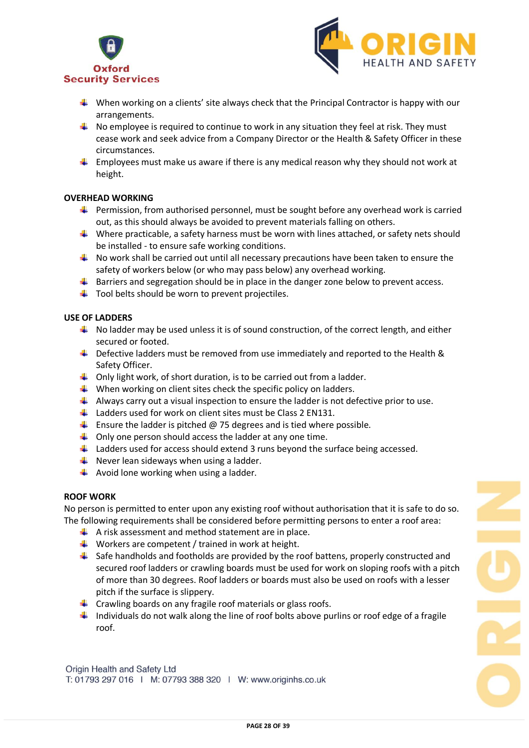



- $\downarrow$  When working on a clients' site always check that the Principal Contractor is happy with our arrangements.
- $\downarrow$  No employee is required to continue to work in any situation they feel at risk. They must cease work and seek advice from a Company Director or the Health & Safety Officer in these circumstances.
- $\ddot{\bullet}$  Employees must make us aware if there is any medical reason why they should not work at height.

#### **OVERHEAD WORKING**

- **Permission, from authorised personnel, must be sought before any overhead work is carried** out, as this should always be avoided to prevent materials falling on others.
- Where practicable, a safety harness must be worn with lines attached, or safety nets should be installed - to ensure safe working conditions.
- $\ddot{+}$  No work shall be carried out until all necessary precautions have been taken to ensure the safety of workers below (or who may pass below) any overhead working.
- $\ddot{\phantom{1}}$  Barriers and segregation should be in place in the danger zone below to prevent access.
- $\downarrow$  Tool belts should be worn to prevent projectiles.

## **USE OF LADDERS**

- $\downarrow$  No ladder may be used unless it is of sound construction, of the correct length, and either secured or footed.
- $\ddot{\bullet}$  Defective ladders must be removed from use immediately and reported to the Health & Safety Officer.
- $\downarrow$  Only light work, of short duration, is to be carried out from a ladder.
- $\downarrow$  When working on client sites check the specific policy on ladders.
- $\downarrow$  Always carry out a visual inspection to ensure the ladder is not defective prior to use.
- $\ddot{+}$  Ladders used for work on client sites must be Class 2 EN131.
- $\uparrow$  Ensure the ladder is pitched  $\omega$  75 degrees and is tied where possible.
- $\downarrow$  Only one person should access the ladder at any one time.
- $\downarrow$  Ladders used for access should extend 3 runs beyond the surface being accessed.
- $\frac{1}{2}$  Never lean sideways when using a ladder.
- $\downarrow$  Avoid lone working when using a ladder.

#### **ROOF WORK**

No person is permitted to enter upon any existing roof without authorisation that it is safe to do so. The following requirements shall be considered before permitting persons to enter a roof area:

- $\uparrow$  A risk assessment and method statement are in place.
- $\downarrow$  Workers are competent / trained in work at height.
- $\frac{1}{2}$  Safe handholds and footholds are provided by the roof battens, properly constructed and secured roof ladders or crawling boards must be used for work on sloping roofs with a pitch of more than 30 degrees. Roof ladders or boards must also be used on roofs with a lesser pitch if the surface is slippery.
- $\ddot{+}$  Crawling boards on any fragile roof materials or glass roofs.
- Individuals do not walk along the line of roof bolts above purlins or roof edge of a fragile roof.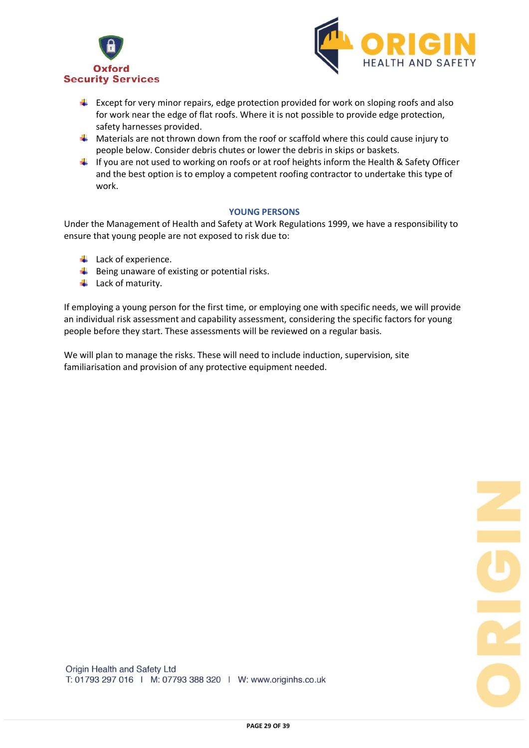



- $\ddot{\phantom{1}}$  Except for very minor repairs, edge protection provided for work on sloping roofs and also for work near the edge of flat roofs. Where it is not possible to provide edge protection, safety harnesses provided.
- $\perp$  Materials are not thrown down from the roof or scaffold where this could cause injury to people below. Consider debris chutes or lower the debris in skips or baskets.
- $\ddot{\phantom{1}}$  If you are not used to working on roofs or at roof heights inform the Health & Safety Officer and the best option is to employ a competent roofing contractor to undertake this type of work.

#### **YOUNG PERSONS**

Under the Management of Health and Safety at Work Regulations 1999, we have a responsibility to ensure that young people are not exposed to risk due to:

- $\downarrow$  Lack of experience.
- $\frac{1}{2}$  Being unaware of existing or potential risks.
- $\overline{\phantom{a}}$  Lack of maturity.

If employing a young person for the first time, or employing one with specific needs, we will provide an individual risk assessment and capability assessment, considering the specific factors for young people before they start. These assessments will be reviewed on a regular basis.

We will plan to manage the risks. These will need to include induction, supervision, site familiarisation and provision of any protective equipment needed.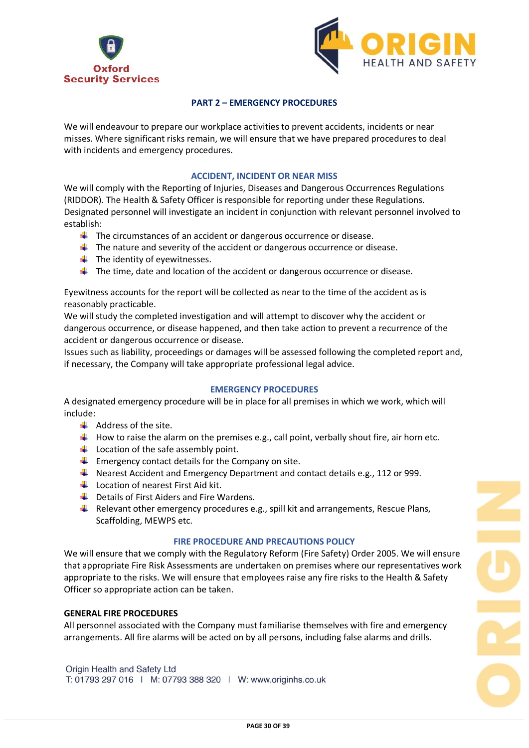



## **PART 2 – EMERGENCY PROCEDURES**

We will endeavour to prepare our workplace activities to prevent accidents, incidents or near misses. Where significant risks remain, we will ensure that we have prepared procedures to deal with incidents and emergency procedures.

#### **ACCIDENT, INCIDENT OR NEAR MISS**

We will comply with the Reporting of Injuries, Diseases and Dangerous Occurrences Regulations (RIDDOR). The Health & Safety Officer is responsible for reporting under these Regulations. Designated personnel will investigate an incident in conjunction with relevant personnel involved to establish:

- $\downarrow$  The circumstances of an accident or dangerous occurrence or disease.
- $\ddot{\phantom{1}}$  The nature and severity of the accident or dangerous occurrence or disease.
- $\ddot{\bullet}$  The identity of eyewitnesses.
- $\ddot{\phantom{1}}$  The time, date and location of the accident or dangerous occurrence or disease.

Eyewitness accounts for the report will be collected as near to the time of the accident as is reasonably practicable.

We will study the completed investigation and will attempt to discover why the accident or dangerous occurrence, or disease happened, and then take action to prevent a recurrence of the accident or dangerous occurrence or disease.

Issues such as liability, proceedings or damages will be assessed following the completed report and, if necessary, the Company will take appropriate professional legal advice.

#### **EMERGENCY PROCEDURES**

A designated emergency procedure will be in place for all premises in which we work, which will include:

- $\triangleq$  Address of the site.
- $\ddotplus$  How to raise the alarm on the premises e.g., call point, verbally shout fire, air horn etc.
- $\downarrow$  Location of the safe assembly point.
- $\ddot{\phantom{1}}$  Emergency contact details for the Company on site.
- Nearest Accident and Emergency Department and contact details e.g., 112 or 999.
- $\downarrow$  Location of nearest First Aid kit.
- $\overline{\phantom{a} \bullet}$  Details of First Aiders and Fire Wardens.
- **F** Relevant other emergency procedures e.g., spill kit and arrangements, Rescue Plans, Scaffolding, MEWPS etc.

#### **FIRE PROCEDURE AND PRECAUTIONS POLICY**

We will ensure that we comply with the Regulatory Reform (Fire Safety) Order 2005. We will ensure that appropriate Fire Risk Assessments are undertaken on premises where our representatives work appropriate to the risks. We will ensure that employees raise any fire risks to the Health & Safety Officer so appropriate action can be taken.

#### **GENERAL FIRE PROCEDURES**

All personnel associated with the Company must familiarise themselves with fire and emergency arrangements. All fire alarms will be acted on by all persons, including false alarms and drills.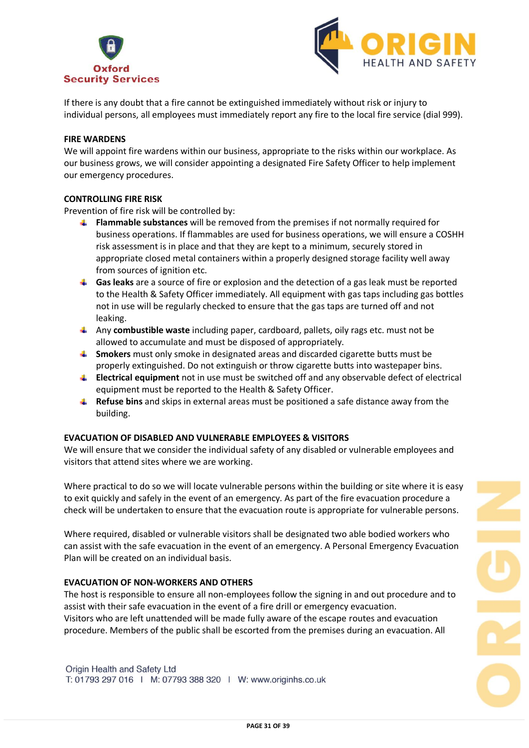



If there is any doubt that a fire cannot be extinguished immediately without risk or injury to individual persons, all employees must immediately report any fire to the local fire service (dial 999).

#### **FIRE WARDENS**

We will appoint fire wardens within our business, appropriate to the risks within our workplace. As our business grows, we will consider appointing a designated Fire Safety Officer to help implement our emergency procedures.

#### **CONTROLLING FIRE RISK**

Prevention of fire risk will be controlled by:

- **Flammable substances** will be removed from the premises if not normally required for business operations. If flammables are used for business operations, we will ensure a COSHH risk assessment is in place and that they are kept to a minimum, securely stored in appropriate closed metal containers within a properly designed storage facility well away from sources of ignition etc.
- **Gas leaks** are a source of fire or explosion and the detection of a gas leak must be reported to the Health & Safety Officer immediately. All equipment with gas taps including gas bottles not in use will be regularly checked to ensure that the gas taps are turned off and not leaking.
- Any **combustible waste** including paper, cardboard, pallets, oily rags etc. must not be allowed to accumulate and must be disposed of appropriately.
- **Smokers** must only smoke in designated areas and discarded cigarette butts must be properly extinguished. Do not extinguish or throw cigarette butts into wastepaper bins.
- **Electrical equipment** not in use must be switched off and any observable defect of electrical equipment must be reported to the Health & Safety Officer.
- **Refuse bins** and skips in external areas must be positioned a safe distance away from the building.

## **EVACUATION OF DISABLED AND VULNERABLE EMPLOYEES & VISITORS**

We will ensure that we consider the individual safety of any disabled or vulnerable employees and visitors that attend sites where we are working.

Where practical to do so we will locate vulnerable persons within the building or site where it is easy to exit quickly and safely in the event of an emergency. As part of the fire evacuation procedure a check will be undertaken to ensure that the evacuation route is appropriate for vulnerable persons.

Where required, disabled or vulnerable visitors shall be designated two able bodied workers who can assist with the safe evacuation in the event of an emergency. A Personal Emergency Evacuation Plan will be created on an individual basis.

#### **EVACUATION OF NON-WORKERS AND OTHERS**

The host is responsible to ensure all non-employees follow the signing in and out procedure and to assist with their safe evacuation in the event of a fire drill or emergency evacuation. Visitors who are left unattended will be made fully aware of the escape routes and evacuation procedure. Members of the public shall be escorted from the premises during an evacuation. All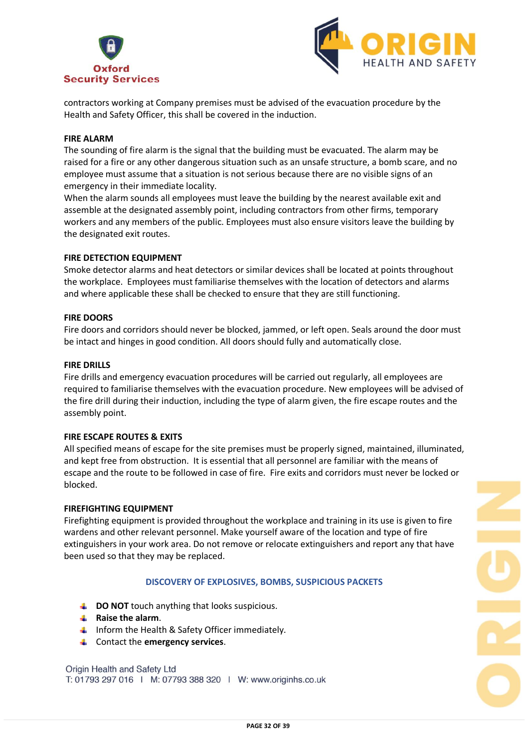



contractors working at Company premises must be advised of the evacuation procedure by the Health and Safety Officer, this shall be covered in the induction.

#### **FIRE ALARM**

The sounding of fire alarm is the signal that the building must be evacuated. The alarm may be raised for a fire or any other dangerous situation such as an unsafe structure, a bomb scare, and no employee must assume that a situation is not serious because there are no visible signs of an emergency in their immediate locality.

When the alarm sounds all employees must leave the building by the nearest available exit and assemble at the designated assembly point, including contractors from other firms, temporary workers and any members of the public. Employees must also ensure visitors leave the building by the designated exit routes.

### **FIRE DETECTION EQUIPMENT**

Smoke detector alarms and heat detectors or similar devices shall be located at points throughout the workplace. Employees must familiarise themselves with the location of detectors and alarms and where applicable these shall be checked to ensure that they are still functioning.

#### **FIRE DOORS**

Fire doors and corridors should never be blocked, jammed, or left open. Seals around the door must be intact and hinges in good condition. All doors should fully and automatically close.

### **FIRE DRILLS**

Fire drills and emergency evacuation procedures will be carried out regularly, all employees are required to familiarise themselves with the evacuation procedure. New employees will be advised of the fire drill during their induction, including the type of alarm given, the fire escape routes and the assembly point.

#### **FIRE ESCAPE ROUTES & EXITS**

All specified means of escape for the site premises must be properly signed, maintained, illuminated, and kept free from obstruction. It is essential that all personnel are familiar with the means of escape and the route to be followed in case of fire. Fire exits and corridors must never be locked or blocked.

#### **FIREFIGHTING EQUIPMENT**

Firefighting equipment is provided throughout the workplace and training in its use is given to fire wardens and other relevant personnel. Make yourself aware of the location and type of fire extinguishers in your work area. Do not remove or relocate extinguishers and report any that have been used so that they may be replaced.

#### **DISCOVERY OF EXPLOSIVES, BOMBS, SUSPICIOUS PACKETS**

- **L** DO NOT touch anything that looks suspicious.
- **Raise the alarm**.
- $\ddot{\bullet}$  Inform the Health & Safety Officer immediately.
- Contact the **emergency services**.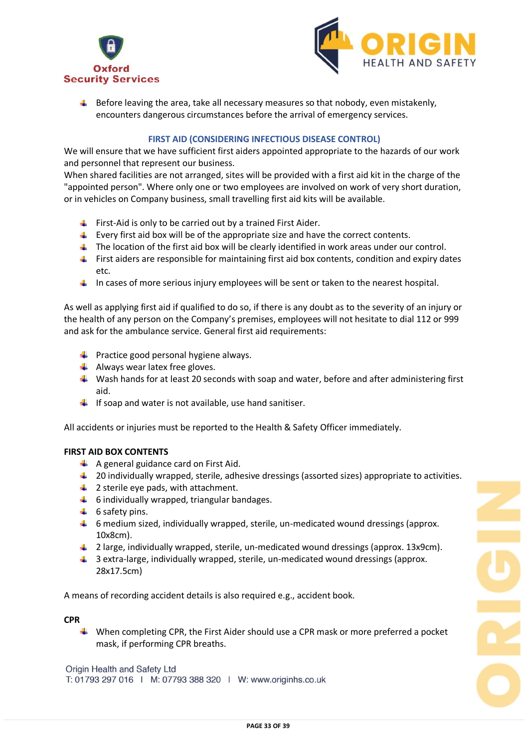



 $\downarrow$  Before leaving the area, take all necessary measures so that nobody, even mistakenly, encounters dangerous circumstances before the arrival of emergency services.

## **FIRST AID (CONSIDERING INFECTIOUS DISEASE CONTROL)**

We will ensure that we have sufficient first aiders appointed appropriate to the hazards of our work and personnel that represent our business.

When shared facilities are not arranged, sites will be provided with a first aid kit in the charge of the "appointed person". Where only one or two employees are involved on work of very short duration, or in vehicles on Company business, small travelling first aid kits will be available.

- First-Aid is only to be carried out by a trained First Aider.
- $\ddot{\phantom{1}}$  Every first aid box will be of the appropriate size and have the correct contents.
- The location of the first aid box will be clearly identified in work areas under our control.
- $\ddot{\phantom{1}}$  First aiders are responsible for maintaining first aid box contents, condition and expiry dates etc.
- In cases of more serious injury employees will be sent or taken to the nearest hospital.

As well as applying first aid if qualified to do so, if there is any doubt as to the severity of an injury or the health of any person on the Company's premises, employees will not hesitate to dial 112 or 999 and ask for the ambulance service. General first aid requirements:

- $\bigstar$  Practice good personal hygiene always.
- $\downarrow$  Always wear latex free gloves.
- $\downarrow$  Wash hands for at least 20 seconds with soap and water, before and after administering first aid.
- $\downarrow$  If soap and water is not available, use hand sanitiser.

All accidents or injuries must be reported to the Health & Safety Officer immediately.

#### **FIRST AID BOX CONTENTS**

- $\uparrow$  A general guidance card on First Aid.
- 4 20 individually wrapped, sterile, adhesive dressings (assorted sizes) appropriate to activities.
- $\downarrow$  2 sterile eye pads, with attachment.
- $\ddot{ }$  6 individually wrapped, triangular bandages.
- $\ddot{ }$  6 safety pins.
- $\downarrow$  6 medium sized, individually wrapped, sterile, un-medicated wound dressings (approx. 10x8cm).
- $\downarrow$  2 large, individually wrapped, sterile, un-medicated wound dressings (approx. 13x9cm).
- $\ddot{\bullet}$  3 extra-large, individually wrapped, sterile, un-medicated wound dressings (approx. 28x17.5cm)

A means of recording accident details is also required e.g., accident book.

#### **CPR**

When completing CPR, the First Aider should use a CPR mask or more preferred a pocket mask, if performing CPR breaths.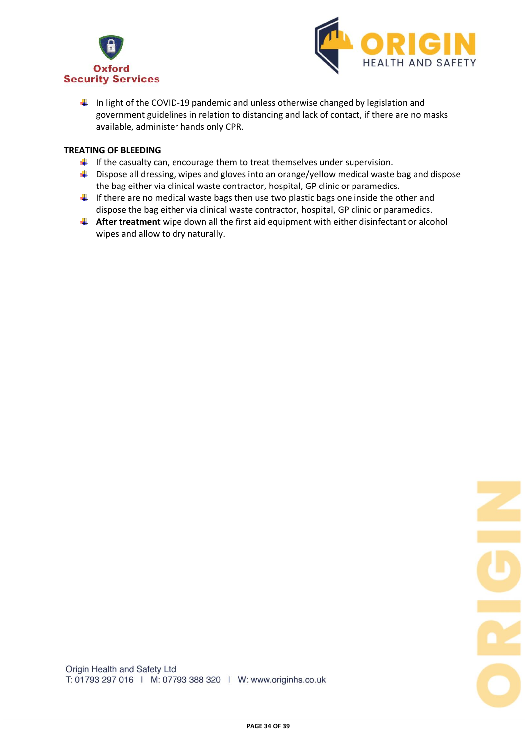



 $\ddot{\phantom{1}}$  In light of the COVID-19 pandemic and unless otherwise changed by legislation and government guidelines in relation to distancing and lack of contact, if there are no masks available, administer hands only CPR.

## **TREATING OF BLEEDING**

- $\ddot{\phantom{1}}$  If the casualty can, encourage them to treat themselves under supervision.
- $\ddot{\phantom{1}}$  Dispose all dressing, wipes and gloves into an orange/yellow medical waste bag and dispose the bag either via clinical waste contractor, hospital, GP clinic or paramedics.
- $\downarrow$  If there are no medical waste bags then use two plastic bags one inside the other and dispose the bag either via clinical waste contractor, hospital, GP clinic or paramedics.
- **After treatment** wipe down all the first aid equipment with either disinfectant or alcohol wipes and allow to dry naturally.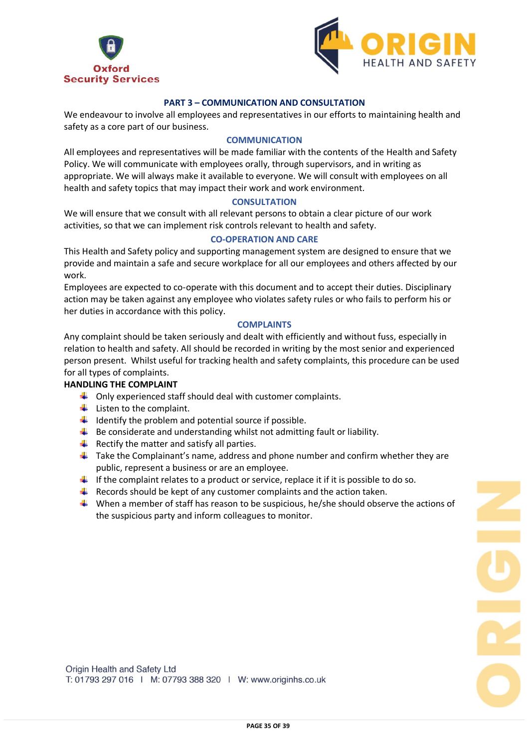



## **PART 3 – COMMUNICATION AND CONSULTATION**

We endeavour to involve all employees and representatives in our efforts to maintaining health and safety as a core part of our business.

## **COMMUNICATION**

All employees and representatives will be made familiar with the contents of the Health and Safety Policy. We will communicate with employees orally, through supervisors, and in writing as appropriate. We will always make it available to everyone. We will consult with employees on all health and safety topics that may impact their work and work environment.

#### **CONSULTATION**

We will ensure that we consult with all relevant persons to obtain a clear picture of our work activities, so that we can implement risk controls relevant to health and safety.

#### **CO-OPERATION AND CARE**

This Health and Safety policy and supporting management system are designed to ensure that we provide and maintain a safe and secure workplace for all our employees and others affected by our work.

Employees are expected to co-operate with this document and to accept their duties. Disciplinary action may be taken against any employee who violates safety rules or who fails to perform his or her duties in accordance with this policy.

#### **COMPLAINTS**

Any complaint should be taken seriously and dealt with efficiently and without fuss, especially in relation to health and safety. All should be recorded in writing by the most senior and experienced person present. Whilst useful for tracking health and safety complaints, this procedure can be used for all types of complaints.

## **HANDLING THE COMPLAINT**

- $\downarrow$  Only experienced staff should deal with customer complaints.
- $\downarrow$  Listen to the complaint.
- $\downarrow$  Identify the problem and potential source if possible.
- $\ddot{\phantom{1}}$  Be considerate and understanding whilst not admitting fault or liability.
- $\frac{1}{\sqrt{2}}$  Rectify the matter and satisfy all parties.
- $\ddot{\phantom{1}}$  Take the Complainant's name, address and phone number and confirm whether they are public, represent a business or are an employee.
- If the complaint relates to a product or service, replace it if it is possible to do so.
- $\downarrow$  Records should be kept of any customer complaints and the action taken.
- When a member of staff has reason to be suspicious, he/she should observe the actions of the suspicious party and inform colleagues to monitor.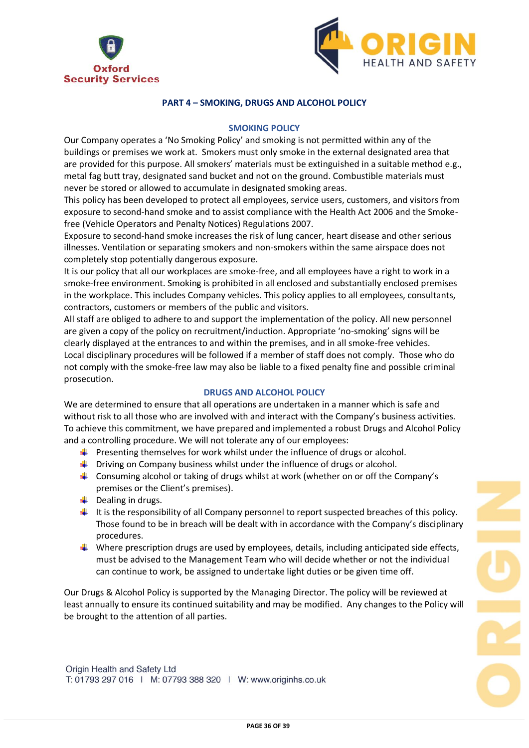



## **PART 4 – SMOKING, DRUGS AND ALCOHOL POLICY**

## **SMOKING POLICY**

Our Company operates a 'No Smoking Policy' and smoking is not permitted within any of the buildings or premises we work at. Smokers must only smoke in the external designated area that are provided for this purpose. All smokers' materials must be extinguished in a suitable method e.g., metal fag butt tray, designated sand bucket and not on the ground. Combustible materials must never be stored or allowed to accumulate in designated smoking areas.

This policy has been developed to protect all employees, service users, customers, and visitors from exposure to second-hand smoke and to assist compliance with the Health Act 2006 and the Smokefree (Vehicle Operators and Penalty Notices) Regulations 2007.

Exposure to second-hand smoke increases the risk of lung cancer, heart disease and other serious illnesses. Ventilation or separating smokers and non-smokers within the same airspace does not completely stop potentially dangerous exposure.

It is our policy that all our workplaces are smoke-free, and all employees have a right to work in a smoke-free environment. Smoking is prohibited in all enclosed and substantially enclosed premises in the workplace. This includes Company vehicles. This policy applies to all employees, consultants, contractors, customers or members of the public and visitors.

All staff are obliged to adhere to and support the implementation of the policy. All new personnel are given a copy of the policy on recruitment/induction. Appropriate 'no-smoking' signs will be clearly displayed at the entrances to and within the premises, and in all smoke-free vehicles. Local disciplinary procedures will be followed if a member of staff does not comply. Those who do not comply with the smoke-free law may also be liable to a fixed penalty fine and possible criminal prosecution.

## **DRUGS AND ALCOHOL POLICY**

We are determined to ensure that all operations are undertaken in a manner which is safe and without risk to all those who are involved with and interact with the Company's business activities. To achieve this commitment, we have prepared and implemented a robust Drugs and Alcohol Policy and a controlling procedure. We will not tolerate any of our employees:

- **Presenting themselves for work whilst under the influence of drugs or alcohol.**
- $\ddot{\phantom{1}}$  Driving on Company business whilst under the influence of drugs or alcohol.
- $\ddot{\phantom{1}}$  Consuming alcohol or taking of drugs whilst at work (whether on or off the Company's premises or the Client's premises).
- $\downarrow$  Dealing in drugs.
- $\downarrow$  It is the responsibility of all Company personnel to report suspected breaches of this policy. Those found to be in breach will be dealt with in accordance with the Company's disciplinary procedures.
- Where prescription drugs are used by employees, details, including anticipated side effects, must be advised to the Management Team who will decide whether or not the individual can continue to work, be assigned to undertake light duties or be given time off.

Our Drugs & Alcohol Policy is supported by the Managing Director. The policy will be reviewed at least annually to ensure its continued suitability and may be modified. Any changes to the Policy will be brought to the attention of all parties.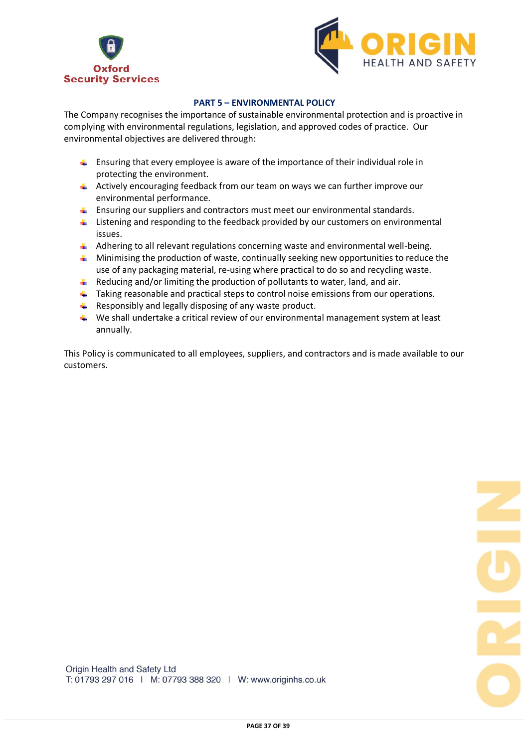



## **PART 5 – ENVIRONMENTAL POLICY**

The Company recognises the importance of sustainable environmental protection and is proactive in complying with environmental regulations, legislation, and approved codes of practice. Our environmental objectives are delivered through:

- **E** Ensuring that every employee is aware of the importance of their individual role in protecting the environment.
- $\triangleq$  Actively encouraging feedback from our team on ways we can further improve our environmental performance.
- **Ensuring our suppliers and contractors must meet our environmental standards.**
- $\ddot{\phantom{1}}$  Listening and responding to the feedback provided by our customers on environmental issues.
- $\ddot{\phantom{1}}$  Adhering to all relevant regulations concerning waste and environmental well-being.
- **4** Minimising the production of waste, continually seeking new opportunities to reduce the use of any packaging material, re-using where practical to do so and recycling waste.
- $\ddot{\phantom{1}}$  Reducing and/or limiting the production of pollutants to water, land, and air.
- **Taking reasonable and practical steps to control noise emissions from our operations.**
- $\overline{\phantom{a}}$  Responsibly and legally disposing of any waste product.
- $\downarrow$  We shall undertake a critical review of our environmental management system at least annually.

This Policy is communicated to all employees, suppliers, and contractors and is made available to our customers.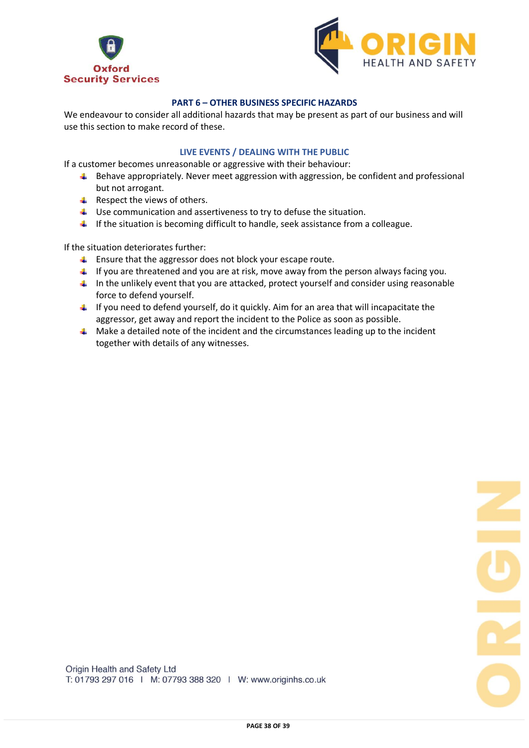



## **PART 6 – OTHER BUSINESS SPECIFIC HAZARDS**

We endeavour to consider all additional hazards that may be present as part of our business and will use this section to make record of these.

## **LIVE EVENTS / DEALING WITH THE PUBLIC**

If a customer becomes unreasonable or aggressive with their behaviour:

- $\ddot{\bullet}$  Behave appropriately. Never meet aggression with aggression, be confident and professional but not arrogant.
- $\leftarrow$  Respect the views of others.
- Use communication and assertiveness to try to defuse the situation.
- $\ddot{\phantom{1}}$  If the situation is becoming difficult to handle, seek assistance from a colleague.

If the situation deteriorates further:

- $\ddot{\bullet}$  Ensure that the aggressor does not block your escape route.
- If you are threatened and you are at risk, move away from the person always facing you.
- $\ddot{\phantom{1}}$  In the unlikely event that you are attacked, protect yourself and consider using reasonable force to defend yourself.
- $\ddot{\phantom{1}}$  If you need to defend yourself, do it quickly. Aim for an area that will incapacitate the aggressor, get away and report the incident to the Police as soon as possible.
- $\ddot{\bullet}$  Make a detailed note of the incident and the circumstances leading up to the incident together with details of any witnesses.